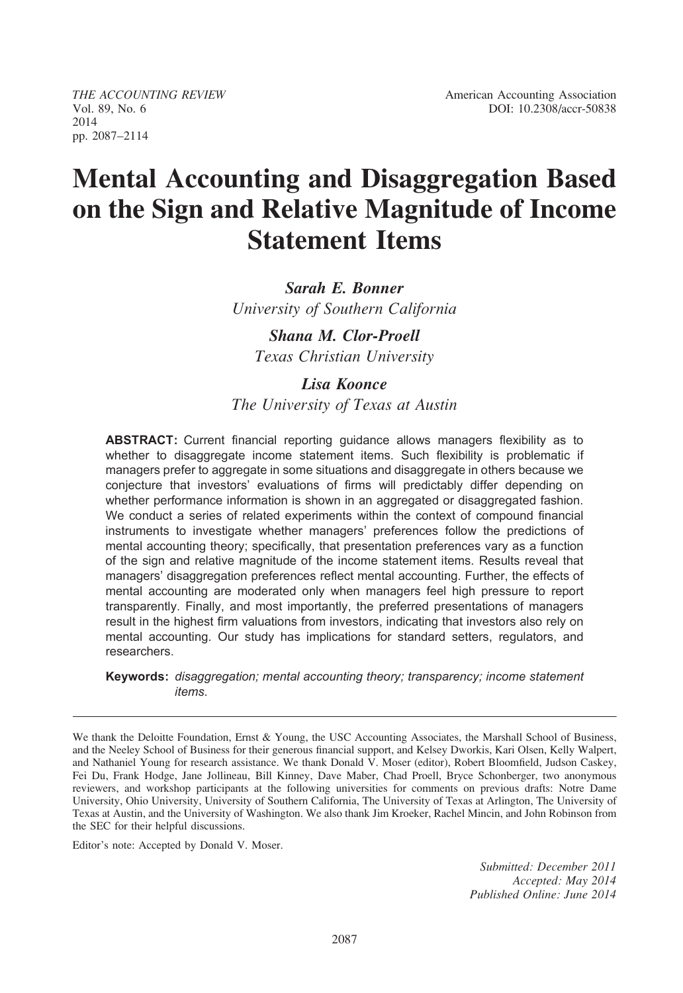# Mental Accounting and Disaggregation Based on the Sign and Relative Magnitude of Income Statement Items

Sarah E. Bonner University of Southern California

Shana M. Clor-Proell Texas Christian University

Lisa Koonce The University of Texas at Austin

ABSTRACT: Current financial reporting guidance allows managers flexibility as to whether to disaggregate income statement items. Such flexibility is problematic if managers prefer to aggregate in some situations and disaggregate in others because we conjecture that investors' evaluations of firms will predictably differ depending on whether performance information is shown in an aggregated or disaggregated fashion. We conduct a series of related experiments within the context of compound financial instruments to investigate whether managers' preferences follow the predictions of mental accounting theory; specifically, that presentation preferences vary as a function of the sign and relative magnitude of the income statement items. Results reveal that managers' disaggregation preferences reflect mental accounting. Further, the effects of mental accounting are moderated only when managers feel high pressure to report transparently. Finally, and most importantly, the preferred presentations of managers result in the highest firm valuations from investors, indicating that investors also rely on mental accounting. Our study has implications for standard setters, regulators, and researchers.

Keywords: disaggregation; mental accounting theory; transparency; income statement items.

We thank the Deloitte Foundation, Ernst & Young, the USC Accounting Associates, the Marshall School of Business, and the Neeley School of Business for their generous financial support, and Kelsey Dworkis, Kari Olsen, Kelly Walpert, and Nathaniel Young for research assistance. We thank Donald V. Moser (editor), Robert Bloomfield, Judson Caskey, Fei Du, Frank Hodge, Jane Jollineau, Bill Kinney, Dave Maber, Chad Proell, Bryce Schonberger, two anonymous reviewers, and workshop participants at the following universities for comments on previous drafts: Notre Dame University, Ohio University, University of Southern California, The University of Texas at Arlington, The University of Texas at Austin, and the University of Washington. We also thank Jim Kroeker, Rachel Mincin, and John Robinson from the SEC for their helpful discussions.

Editor's note: Accepted by Donald V. Moser.

Submitted: December 2011 Accepted: May 2014 Published Online: June 2014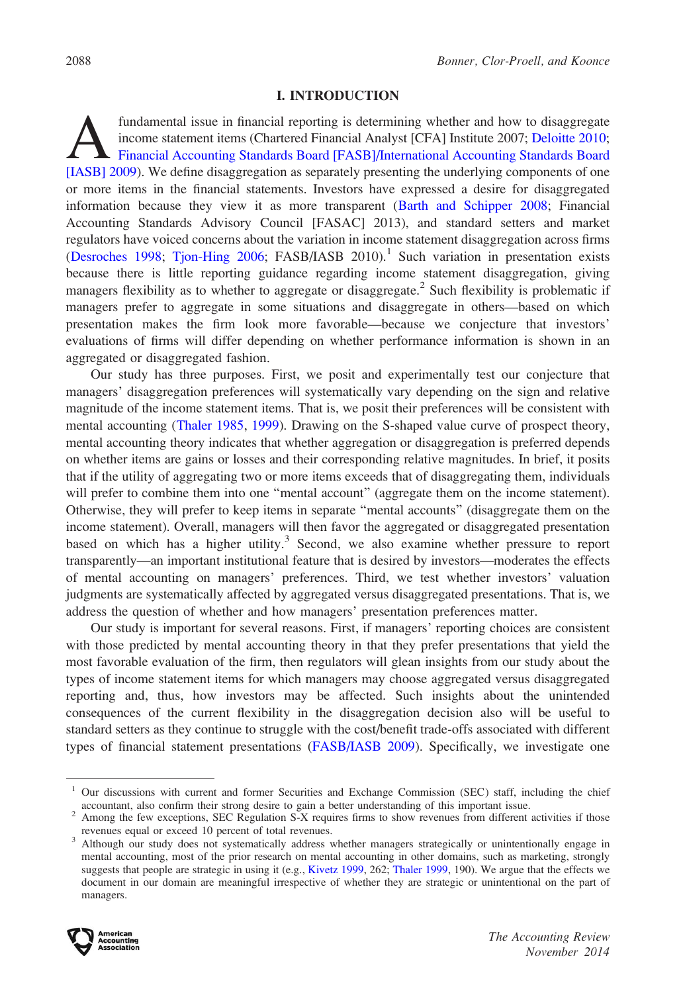# I. INTRODUCTION

fundamental issue in financial reporting is determining whether and how to disaggregate<br>income statement items (Chartered Financial Analyst [CFA] Institute 2007; Deloitte 2010;<br>Financial Accounting Standards Board [FASB]/I income statement items (Chartered Financial Analyst [CFA] Institute 2007; Deloitte 2010; Financial Accounting Standards Board [FASB]/International Accounting Standards Board [\[IASB\] 2009](#page-26-0)). We define disaggregation as separately presenting the underlying components of one or more items in the financial statements. Investors have expressed a desire for disaggregated information because they view it as more transparent [\(Barth and Schipper 2008](#page-25-0); Financial Accounting Standards Advisory Council [FASAC] 2013), and standard setters and market regulators have voiced concerns about the variation in income statement disaggregation across firms [\(Desroches 1998](#page-26-0); [Tjon-Hing 2006;](#page-27-0) FASB/IASB 2010).<sup>1</sup> Such variation in presentation exists because there is little reporting guidance regarding income statement disaggregation, giving managers flexibility as to whether to aggregate or disaggregate.<sup>2</sup> Such flexibility is problematic if managers prefer to aggregate in some situations and disaggregate in others—based on which presentation makes the firm look more favorable—because we conjecture that investors' evaluations of firms will differ depending on whether performance information is shown in an aggregated or disaggregated fashion.

Our study has three purposes. First, we posit and experimentally test our conjecture that managers' disaggregation preferences will systematically vary depending on the sign and relative magnitude of the income statement items. That is, we posit their preferences will be consistent with mental accounting ([Thaler 1985,](#page-27-0) [1999](#page-27-0)). Drawing on the S-shaped value curve of prospect theory, mental accounting theory indicates that whether aggregation or disaggregation is preferred depends on whether items are gains or losses and their corresponding relative magnitudes. In brief, it posits that if the utility of aggregating two or more items exceeds that of disaggregating them, individuals will prefer to combine them into one "mental account" (aggregate them on the income statement). Otherwise, they will prefer to keep items in separate ''mental accounts'' (disaggregate them on the income statement). Overall, managers will then favor the aggregated or disaggregated presentation based on which has a higher utility.<sup>3</sup> Second, we also examine whether pressure to report transparently—an important institutional feature that is desired by investors—moderates the effects of mental accounting on managers' preferences. Third, we test whether investors' valuation judgments are systematically affected by aggregated versus disaggregated presentations. That is, we address the question of whether and how managers' presentation preferences matter.

Our study is important for several reasons. First, if managers' reporting choices are consistent with those predicted by mental accounting theory in that they prefer presentations that yield the most favorable evaluation of the firm, then regulators will glean insights from our study about the types of income statement items for which managers may choose aggregated versus disaggregated reporting and, thus, how investors may be affected. Such insights about the unintended consequences of the current flexibility in the disaggregation decision also will be useful to standard setters as they continue to struggle with the cost/benefit trade-offs associated with different types of financial statement presentations [\(FASB/IASB 2009](#page-26-0)). Specifically, we investigate one

mental accounting, most of the prior research on mental accounting in other domains, such as marketing, strongly suggests that people are strategic in using it (e.g., [Kivetz 1999,](#page-26-0) 262; [Thaler 1999,](#page-27-0) 190). We argue that the effects we document in our domain are meaningful irrespective of whether they are strategic or unintentional on the part of managers.



<sup>&</sup>lt;sup>1</sup> Our discussions with current and former Securities and Exchange Commission (SEC) staff, including the chief accountant, also confirm their strong desire to gain a better understanding of this important issue.

<sup>&</sup>lt;sup>2</sup> Among the few exceptions, SEC Regulation S-X requires firms to show revenues from different activities if those revenues equal or exceed 10 percent of total revenues. <sup>3</sup> Although our study does not systematically address whether managers strategically or unintentionally engage in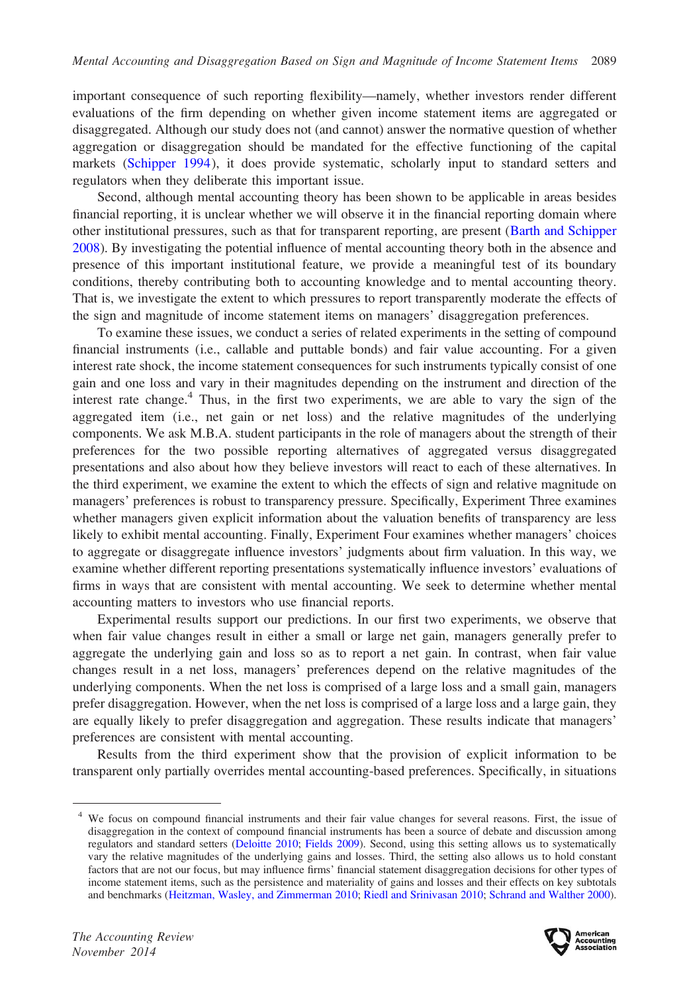important consequence of such reporting flexibility—namely, whether investors render different evaluations of the firm depending on whether given income statement items are aggregated or disaggregated. Although our study does not (and cannot) answer the normative question of whether aggregation or disaggregation should be mandated for the effective functioning of the capital markets [\(Schipper 1994](#page-27-0)), it does provide systematic, scholarly input to standard setters and regulators when they deliberate this important issue.

Second, although mental accounting theory has been shown to be applicable in areas besides financial reporting, it is unclear whether we will observe it in the financial reporting domain where other institutional pressures, such as that for transparent reporting, are present ([Barth and Schipper](#page-25-0) [2008\)](#page-25-0). By investigating the potential influence of mental accounting theory both in the absence and presence of this important institutional feature, we provide a meaningful test of its boundary conditions, thereby contributing both to accounting knowledge and to mental accounting theory. That is, we investigate the extent to which pressures to report transparently moderate the effects of the sign and magnitude of income statement items on managers' disaggregation preferences.

To examine these issues, we conduct a series of related experiments in the setting of compound financial instruments (i.e., callable and puttable bonds) and fair value accounting. For a given interest rate shock, the income statement consequences for such instruments typically consist of one gain and one loss and vary in their magnitudes depending on the instrument and direction of the interest rate change.<sup>4</sup> Thus, in the first two experiments, we are able to vary the sign of the aggregated item (i.e., net gain or net loss) and the relative magnitudes of the underlying components. We ask M.B.A. student participants in the role of managers about the strength of their preferences for the two possible reporting alternatives of aggregated versus disaggregated presentations and also about how they believe investors will react to each of these alternatives. In the third experiment, we examine the extent to which the effects of sign and relative magnitude on managers' preferences is robust to transparency pressure. Specifically, Experiment Three examines whether managers given explicit information about the valuation benefits of transparency are less likely to exhibit mental accounting. Finally, Experiment Four examines whether managers' choices to aggregate or disaggregate influence investors' judgments about firm valuation. In this way, we examine whether different reporting presentations systematically influence investors' evaluations of firms in ways that are consistent with mental accounting. We seek to determine whether mental accounting matters to investors who use financial reports.

Experimental results support our predictions. In our first two experiments, we observe that when fair value changes result in either a small or large net gain, managers generally prefer to aggregate the underlying gain and loss so as to report a net gain. In contrast, when fair value changes result in a net loss, managers' preferences depend on the relative magnitudes of the underlying components. When the net loss is comprised of a large loss and a small gain, managers prefer disaggregation. However, when the net loss is comprised of a large loss and a large gain, they are equally likely to prefer disaggregation and aggregation. These results indicate that managers' preferences are consistent with mental accounting.

Results from the third experiment show that the provision of explicit information to be transparent only partially overrides mental accounting-based preferences. Specifically, in situations

<sup>4</sup> We focus on compound financial instruments and their fair value changes for several reasons. First, the issue of disaggregation in the context of compound financial instruments has been a source of debate and discussion among regulators and standard setters ([Deloitte 2010](#page-25-0); [Fields 2009\)](#page-26-0). Second, using this setting allows us to systematically vary the relative magnitudes of the underlying gains and losses. Third, the setting also allows us to hold constant factors that are not our focus, but may influence firms' financial statement disaggregation decisions for other types of income statement items, such as the persistence and materiality of gains and losses and their effects on key subtotals and benchmarks [\(Heitzman, Wasley, and Zimmerman 2010](#page-26-0); [Riedl and Srinivasan 2010;](#page-27-0) [Schrand and Walther 2000](#page-27-0)).

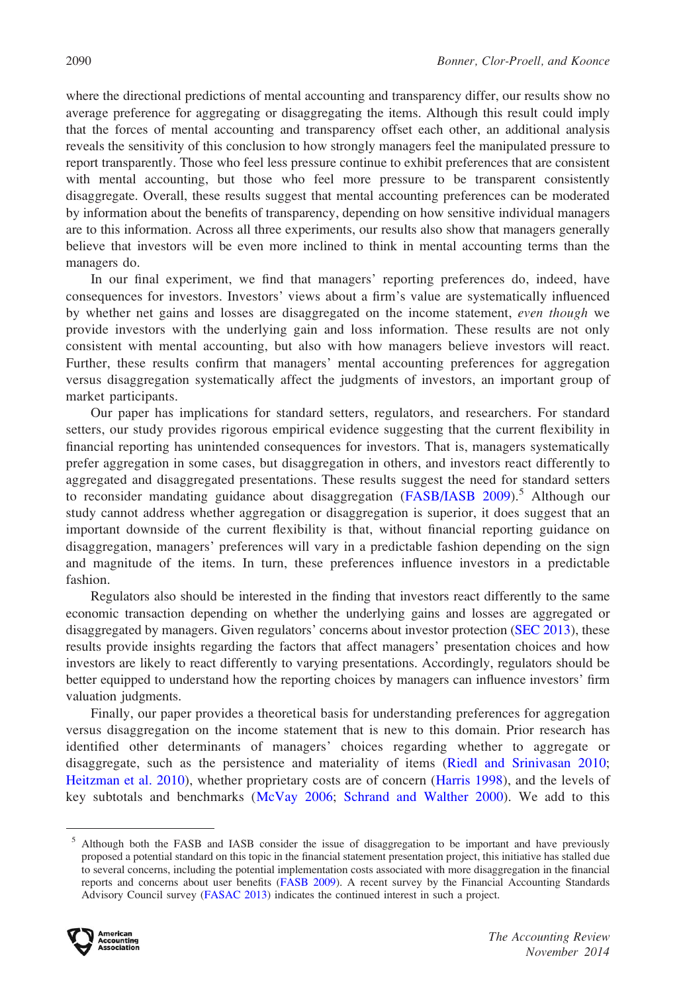where the directional predictions of mental accounting and transparency differ, our results show no average preference for aggregating or disaggregating the items. Although this result could imply that the forces of mental accounting and transparency offset each other, an additional analysis reveals the sensitivity of this conclusion to how strongly managers feel the manipulated pressure to report transparently. Those who feel less pressure continue to exhibit preferences that are consistent with mental accounting, but those who feel more pressure to be transparent consistently disaggregate. Overall, these results suggest that mental accounting preferences can be moderated by information about the benefits of transparency, depending on how sensitive individual managers are to this information. Across all three experiments, our results also show that managers generally believe that investors will be even more inclined to think in mental accounting terms than the managers do.

In our final experiment, we find that managers' reporting preferences do, indeed, have consequences for investors. Investors' views about a firm's value are systematically influenced by whether net gains and losses are disaggregated on the income statement, even though we provide investors with the underlying gain and loss information. These results are not only consistent with mental accounting, but also with how managers believe investors will react. Further, these results confirm that managers' mental accounting preferences for aggregation versus disaggregation systematically affect the judgments of investors, an important group of market participants.

Our paper has implications for standard setters, regulators, and researchers. For standard setters, our study provides rigorous empirical evidence suggesting that the current flexibility in financial reporting has unintended consequences for investors. That is, managers systematically prefer aggregation in some cases, but disaggregation in others, and investors react differently to aggregated and disaggregated presentations. These results suggest the need for standard setters to reconsider mandating guidance about disaggregation ([FASB/IASB 2009](#page-26-0)).<sup>5</sup> Although our study cannot address whether aggregation or disaggregation is superior, it does suggest that an important downside of the current flexibility is that, without financial reporting guidance on disaggregation, managers' preferences will vary in a predictable fashion depending on the sign and magnitude of the items. In turn, these preferences influence investors in a predictable fashion.

Regulators also should be interested in the finding that investors react differently to the same economic transaction depending on whether the underlying gains and losses are aggregated or disaggregated by managers. Given regulators' concerns about investor protection [\(SEC 2013\)](#page-27-0), these results provide insights regarding the factors that affect managers' presentation choices and how investors are likely to react differently to varying presentations. Accordingly, regulators should be better equipped to understand how the reporting choices by managers can influence investors' firm valuation judgments.

Finally, our paper provides a theoretical basis for understanding preferences for aggregation versus disaggregation on the income statement that is new to this domain. Prior research has identified other determinants of managers' choices regarding whether to aggregate or disaggregate, such as the persistence and materiality of items [\(Riedl and Srinivasan 2010;](#page-27-0) [Heitzman et al. 2010](#page-26-0)), whether proprietary costs are of concern ([Harris 1998\)](#page-26-0), and the levels of key subtotals and benchmarks ([McVay 2006;](#page-26-0) [Schrand and Walther 2000](#page-27-0)). We add to this

<sup>&</sup>lt;sup>5</sup> Although both the FASB and IASB consider the issue of disaggregation to be important and have previously proposed a potential standard on this topic in the financial statement presentation project, this initiative has stalled due to several concerns, including the potential implementation costs associated with more disaggregation in the financial reports and concerns about user benefits [\(FASB 2009\)](#page-26-0). A recent survey by the Financial Accounting Standards Advisory Council survey [\(FASAC 2013\)](#page-26-0) indicates the continued interest in such a project.

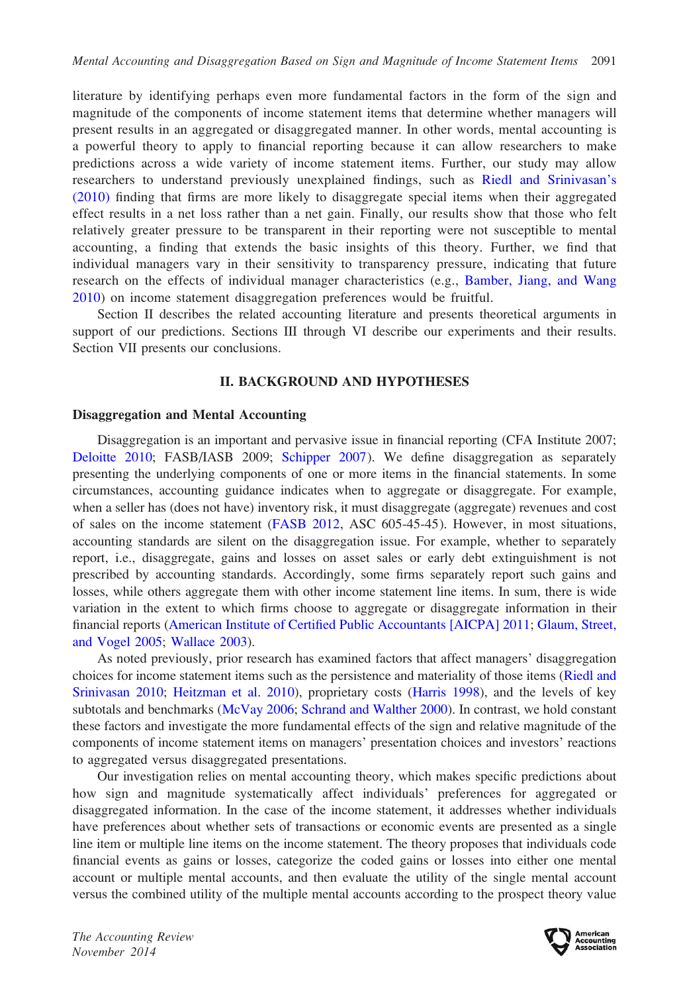literature by identifying perhaps even more fundamental factors in the form of the sign and magnitude of the components of income statement items that determine whether managers will present results in an aggregated or disaggregated manner. In other words, mental accounting is a powerful theory to apply to financial reporting because it can allow researchers to make predictions across a wide variety of income statement items. Further, our study may allow researchers to understand previously unexplained findings, such as [Riedl and Srinivasan's](#page-27-0) [\(2010\)](#page-27-0) finding that firms are more likely to disaggregate special items when their aggregated effect results in a net loss rather than a net gain. Finally, our results show that those who felt relatively greater pressure to be transparent in their reporting were not susceptible to mental accounting, a finding that extends the basic insights of this theory. Further, we find that individual managers vary in their sensitivity to transparency pressure, indicating that future research on the effects of individual manager characteristics (e.g., [Bamber, Jiang, and Wang](#page-25-0) [2010](#page-25-0)) on income statement disaggregation preferences would be fruitful.

Section II describes the related accounting literature and presents theoretical arguments in support of our predictions. Sections III through VI describe our experiments and their results. Section VII presents our conclusions.

# II. BACKGROUND AND HYPOTHESES

#### Disaggregation and Mental Accounting

Disaggregation is an important and pervasive issue in financial reporting (CFA Institute 2007; [Deloitte 2010](#page-25-0); FASB/IASB 2009; [Schipper 2007](#page-27-0)). We define disaggregation as separately presenting the underlying components of one or more items in the financial statements. In some circumstances, accounting guidance indicates when to aggregate or disaggregate. For example, when a seller has (does not have) inventory risk, it must disaggregate (aggregate) revenues and cost of sales on the income statement [\(FASB 2012,](#page-26-0) ASC 605-45-45). However, in most situations, accounting standards are silent on the disaggregation issue. For example, whether to separately report, i.e., disaggregate, gains and losses on asset sales or early debt extinguishment is not prescribed by accounting standards. Accordingly, some firms separately report such gains and losses, while others aggregate them with other income statement line items. In sum, there is wide variation in the extent to which firms choose to aggregate or disaggregate information in their financial reports [\(American Institute of Certified Public Accountants \[AICPA\] 2011;](#page-25-0) [Glaum, Street,](#page-26-0) [and Vogel 2005;](#page-26-0) [Wallace 2003](#page-27-0)).

As noted previously, prior research has examined factors that affect managers' disaggregation choices for income statement items such as the persistence and materiality of those items ([Riedl and](#page-27-0) [Srinivasan 2010;](#page-27-0) [Heitzman et al. 2010\)](#page-26-0), proprietary costs ([Harris 1998\)](#page-26-0), and the levels of key subtotals and benchmarks ([McVay 2006](#page-26-0); [Schrand and Walther 2000\)](#page-27-0). In contrast, we hold constant these factors and investigate the more fundamental effects of the sign and relative magnitude of the components of income statement items on managers' presentation choices and investors' reactions to aggregated versus disaggregated presentations.

Our investigation relies on mental accounting theory, which makes specific predictions about how sign and magnitude systematically affect individuals' preferences for aggregated or disaggregated information. In the case of the income statement, it addresses whether individuals have preferences about whether sets of transactions or economic events are presented as a single line item or multiple line items on the income statement. The theory proposes that individuals code financial events as gains or losses, categorize the coded gains or losses into either one mental account or multiple mental accounts, and then evaluate the utility of the single mental account versus the combined utility of the multiple mental accounts according to the prospect theory value

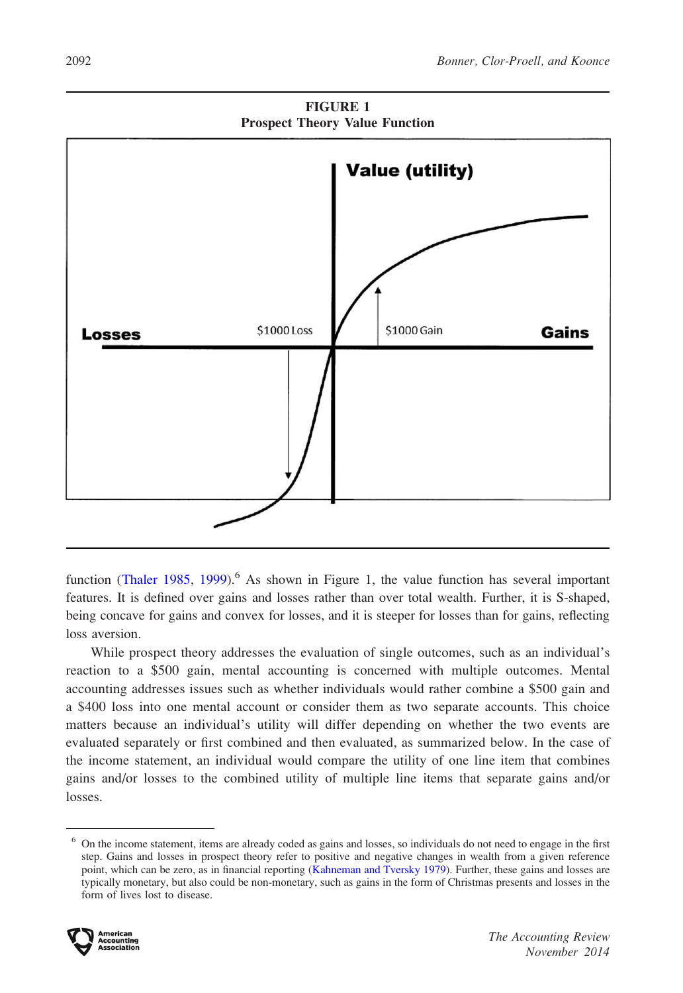FIGURE 1 Prospect Theory Value Function



function [\(Thaler 1985](#page-27-0), [1999\)](#page-27-0).<sup>6</sup> As shown in Figure 1, the value function has several important features. It is defined over gains and losses rather than over total wealth. Further, it is S-shaped, being concave for gains and convex for losses, and it is steeper for losses than for gains, reflecting loss aversion.

While prospect theory addresses the evaluation of single outcomes, such as an individual's reaction to a \$500 gain, mental accounting is concerned with multiple outcomes. Mental accounting addresses issues such as whether individuals would rather combine a \$500 gain and a \$400 loss into one mental account or consider them as two separate accounts. This choice matters because an individual's utility will differ depending on whether the two events are evaluated separately or first combined and then evaluated, as summarized below. In the case of the income statement, an individual would compare the utility of one line item that combines gains and/or losses to the combined utility of multiple line items that separate gains and/or losses.

<sup>6</sup> On the income statement, items are already coded as gains and losses, so individuals do not need to engage in the first step. Gains and losses in prospect theory refer to positive and negative changes in wealth from a given reference point, which can be zero, as in financial reporting [\(Kahneman and Tversky 1979](#page-26-0)). Further, these gains and losses are typically monetary, but also could be non-monetary, such as gains in the form of Christmas presents and losses in the form of lives lost to disease.

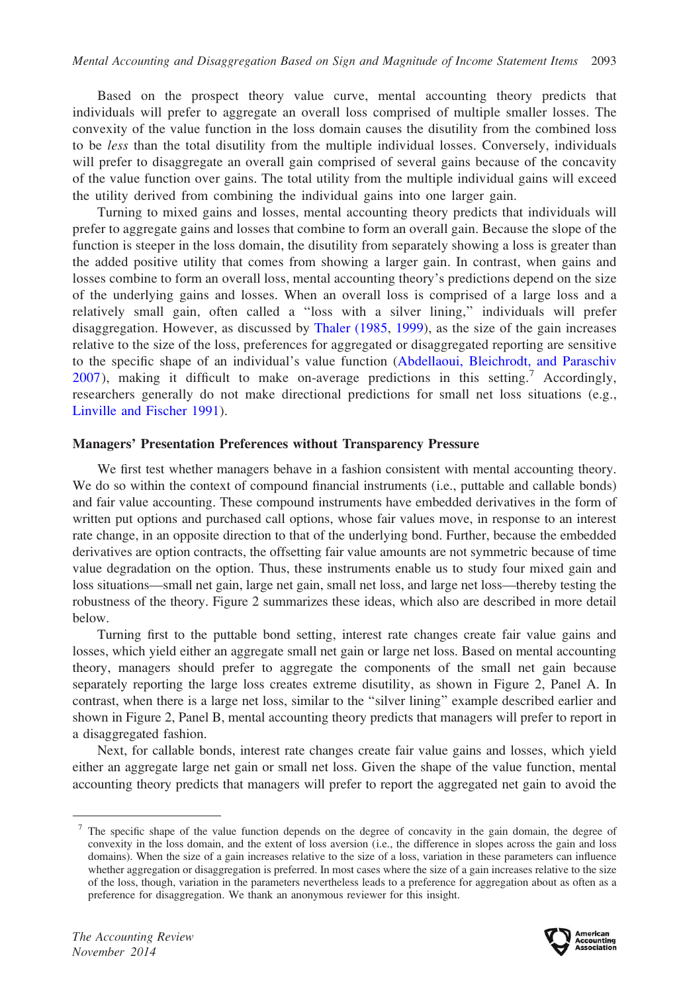Based on the prospect theory value curve, mental accounting theory predicts that individuals will prefer to aggregate an overall loss comprised of multiple smaller losses. The convexity of the value function in the loss domain causes the disutility from the combined loss to be less than the total disutility from the multiple individual losses. Conversely, individuals will prefer to disaggregate an overall gain comprised of several gains because of the concavity of the value function over gains. The total utility from the multiple individual gains will exceed the utility derived from combining the individual gains into one larger gain.

Turning to mixed gains and losses, mental accounting theory predicts that individuals will prefer to aggregate gains and losses that combine to form an overall gain. Because the slope of the function is steeper in the loss domain, the disutility from separately showing a loss is greater than the added positive utility that comes from showing a larger gain. In contrast, when gains and losses combine to form an overall loss, mental accounting theory's predictions depend on the size of the underlying gains and losses. When an overall loss is comprised of a large loss and a relatively small gain, often called a ''loss with a silver lining,'' individuals will prefer disaggregation. However, as discussed by [Thaler \(1985](#page-27-0), [1999](#page-27-0)), as the size of the gain increases relative to the size of the loss, preferences for aggregated or disaggregated reporting are sensitive to the specific shape of an individual's value function [\(Abdellaoui, Bleichrodt, and Paraschiv](#page-25-0)  $2007$ ), making it difficult to make on-average predictions in this setting.<sup>7</sup> Accordingly, researchers generally do not make directional predictions for small net loss situations (e.g., [Linville and Fischer 1991](#page-26-0)).

#### Managers' Presentation Preferences without Transparency Pressure

We first test whether managers behave in a fashion consistent with mental accounting theory. We do so within the context of compound financial instruments (i.e., puttable and callable bonds) and fair value accounting. These compound instruments have embedded derivatives in the form of written put options and purchased call options, whose fair values move, in response to an interest rate change, in an opposite direction to that of the underlying bond. Further, because the embedded derivatives are option contracts, the offsetting fair value amounts are not symmetric because of time value degradation on the option. Thus, these instruments enable us to study four mixed gain and loss situations—small net gain, large net gain, small net loss, and large net loss—thereby testing the robustness of the theory. Figure 2 summarizes these ideas, which also are described in more detail below.

Turning first to the puttable bond setting, interest rate changes create fair value gains and losses, which yield either an aggregate small net gain or large net loss. Based on mental accounting theory, managers should prefer to aggregate the components of the small net gain because separately reporting the large loss creates extreme disutility, as shown in Figure 2, Panel A. In contrast, when there is a large net loss, similar to the ''silver lining'' example described earlier and shown in Figure 2, Panel B, mental accounting theory predicts that managers will prefer to report in a disaggregated fashion.

Next, for callable bonds, interest rate changes create fair value gains and losses, which yield either an aggregate large net gain or small net loss. Given the shape of the value function, mental accounting theory predicts that managers will prefer to report the aggregated net gain to avoid the

<sup>&</sup>lt;sup>7</sup> The specific shape of the value function depends on the degree of concavity in the gain domain, the degree of convexity in the loss domain, and the extent of loss aversion (i.e., the difference in slopes across the gain and loss domains). When the size of a gain increases relative to the size of a loss, variation in these parameters can influence whether aggregation or disaggregation is preferred. In most cases where the size of a gain increases relative to the size of the loss, though, variation in the parameters nevertheless leads to a preference for aggregation about as often as a preference for disaggregation. We thank an anonymous reviewer for this insight.

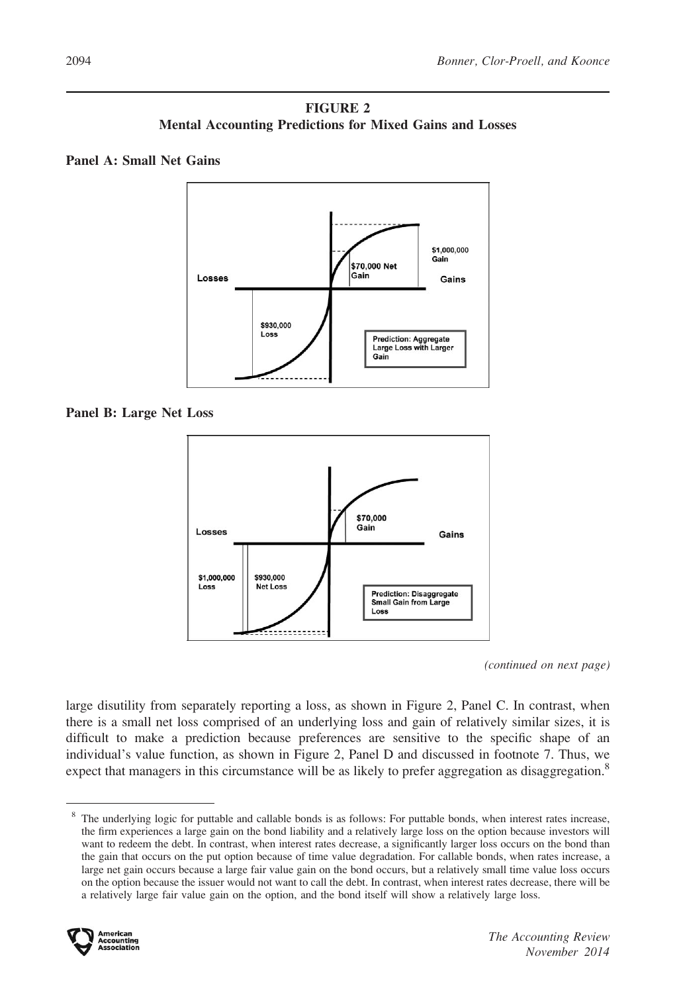FIGURE 2 Mental Accounting Predictions for Mixed Gains and Losses

# Panel A: Small Net Gains



Panel B: Large Net Loss



(continued on next page)

large disutility from separately reporting a loss, as shown in Figure 2, Panel C. In contrast, when there is a small net loss comprised of an underlying loss and gain of relatively similar sizes, it is difficult to make a prediction because preferences are sensitive to the specific shape of an individual's value function, as shown in Figure 2, Panel D and discussed in footnote 7. Thus, we expect that managers in this circumstance will be as likely to prefer aggregation as disaggregation.<sup>8</sup>

The underlying logic for puttable and callable bonds is as follows: For puttable bonds, when interest rates increase, the firm experiences a large gain on the bond liability and a relatively large loss on the option because investors will want to redeem the debt. In contrast, when interest rates decrease, a significantly larger loss occurs on the bond than the gain that occurs on the put option because of time value degradation. For callable bonds, when rates increase, a large net gain occurs because a large fair value gain on the bond occurs, but a relatively small time value loss occurs on the option because the issuer would not want to call the debt. In contrast, when interest rates decrease, there will be a relatively large fair value gain on the option, and the bond itself will show a relatively large loss.

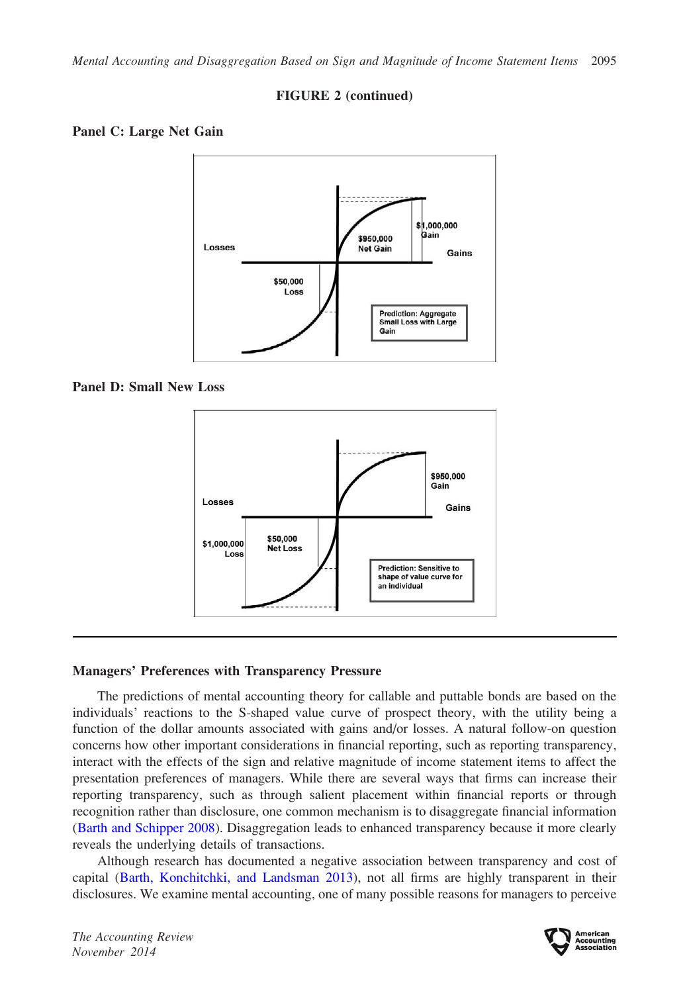# FIGURE 2 (continued)





#### Panel D: Small New Loss



#### Managers' Preferences with Transparency Pressure

The predictions of mental accounting theory for callable and puttable bonds are based on the individuals' reactions to the S-shaped value curve of prospect theory, with the utility being a function of the dollar amounts associated with gains and/or losses. A natural follow-on question concerns how other important considerations in financial reporting, such as reporting transparency, interact with the effects of the sign and relative magnitude of income statement items to affect the presentation preferences of managers. While there are several ways that firms can increase their reporting transparency, such as through salient placement within financial reports or through recognition rather than disclosure, one common mechanism is to disaggregate financial information ([Barth and Schipper 2008](#page-25-0)). Disaggregation leads to enhanced transparency because it more clearly reveals the underlying details of transactions.

Although research has documented a negative association between transparency and cost of capital ([Barth, Konchitchki, and Landsman 2013](#page-25-0)), not all firms are highly transparent in their disclosures. We examine mental accounting, one of many possible reasons for managers to perceive

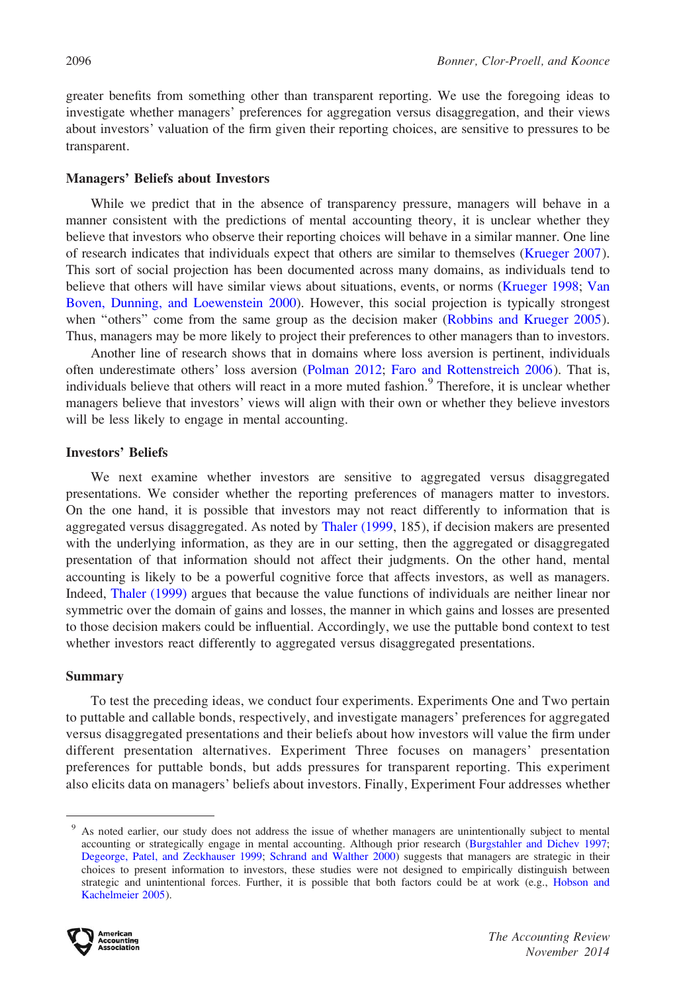greater benefits from something other than transparent reporting. We use the foregoing ideas to investigate whether managers' preferences for aggregation versus disaggregation, and their views about investors' valuation of the firm given their reporting choices, are sensitive to pressures to be transparent.

## Managers' Beliefs about Investors

While we predict that in the absence of transparency pressure, managers will behave in a manner consistent with the predictions of mental accounting theory, it is unclear whether they believe that investors who observe their reporting choices will behave in a similar manner. One line of research indicates that individuals expect that others are similar to themselves [\(Krueger 2007](#page-26-0)). This sort of social projection has been documented across many domains, as individuals tend to believe that others will have similar views about situations, events, or norms [\(Krueger 1998;](#page-26-0) [Van](#page-27-0) [Boven, Dunning, and Loewenstein 2000\)](#page-27-0). However, this social projection is typically strongest when "others" come from the same group as the decision maker [\(Robbins and Krueger 2005](#page-27-0)). Thus, managers may be more likely to project their preferences to other managers than to investors.

Another line of research shows that in domains where loss aversion is pertinent, individuals often underestimate others' loss aversion ([Polman 2012](#page-27-0); [Faro and Rottenstreich 2006](#page-26-0)). That is, individuals believe that others will react in a more muted fashion.<sup>9</sup> Therefore, it is unclear whether managers believe that investors' views will align with their own or whether they believe investors will be less likely to engage in mental accounting.

# Investors' Beliefs

We next examine whether investors are sensitive to aggregated versus disaggregated presentations. We consider whether the reporting preferences of managers matter to investors. On the one hand, it is possible that investors may not react differently to information that is aggregated versus disaggregated. As noted by [Thaler \(1999](#page-27-0), 185), if decision makers are presented with the underlying information, as they are in our setting, then the aggregated or disaggregated presentation of that information should not affect their judgments. On the other hand, mental accounting is likely to be a powerful cognitive force that affects investors, as well as managers. Indeed, [Thaler \(1999\)](#page-27-0) argues that because the value functions of individuals are neither linear nor symmetric over the domain of gains and losses, the manner in which gains and losses are presented to those decision makers could be influential. Accordingly, we use the puttable bond context to test whether investors react differently to aggregated versus disaggregated presentations.

#### Summary

To test the preceding ideas, we conduct four experiments. Experiments One and Two pertain to puttable and callable bonds, respectively, and investigate managers' preferences for aggregated versus disaggregated presentations and their beliefs about how investors will value the firm under different presentation alternatives. Experiment Three focuses on managers' presentation preferences for puttable bonds, but adds pressures for transparent reporting. This experiment also elicits data on managers' beliefs about investors. Finally, Experiment Four addresses whether

<sup>&</sup>lt;sup>9</sup> As noted earlier, our study does not address the issue of whether managers are unintentionally subject to mental accounting or strategically engage in mental accounting. Although prior research [\(Burgstahler and Dichev 1997](#page-25-0); [Degeorge, Patel, and Zeckhauser 1999](#page-25-0); [Schrand and Walther 2000\)](#page-27-0) suggests that managers are strategic in their choices to present information to investors, these studies were not designed to empirically distinguish between strategic and unintentional forces. Further, it is possible that both factors could be at work (e.g., [Hobson and](#page-26-0) [Kachelmeier 2005](#page-26-0)).

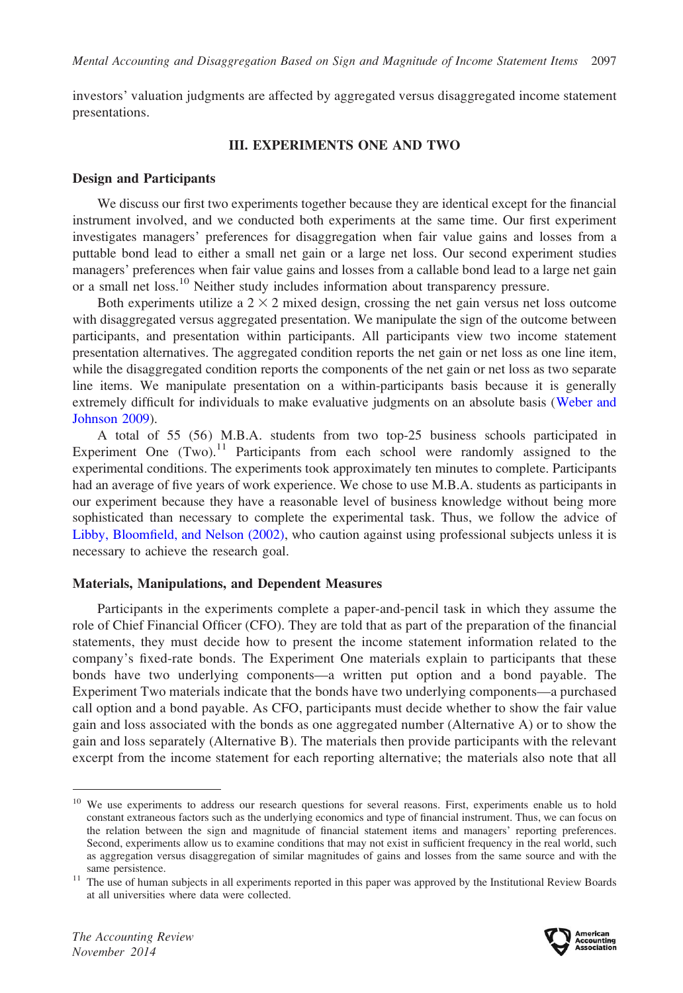investors' valuation judgments are affected by aggregated versus disaggregated income statement presentations.

# III. EXPERIMENTS ONE AND TWO

## Design and Participants

We discuss our first two experiments together because they are identical except for the financial instrument involved, and we conducted both experiments at the same time. Our first experiment investigates managers' preferences for disaggregation when fair value gains and losses from a puttable bond lead to either a small net gain or a large net loss. Our second experiment studies managers' preferences when fair value gains and losses from a callable bond lead to a large net gain or a small net loss.<sup>10</sup> Neither study includes information about transparency pressure.

Both experiments utilize a  $2 \times 2$  mixed design, crossing the net gain versus net loss outcome with disaggregated versus aggregated presentation. We manipulate the sign of the outcome between participants, and presentation within participants. All participants view two income statement presentation alternatives. The aggregated condition reports the net gain or net loss as one line item, while the disaggregated condition reports the components of the net gain or net loss as two separate line items. We manipulate presentation on a within-participants basis because it is generally extremely difficult for individuals to make evaluative judgments on an absolute basis ([Weber and](#page-27-0) [Johnson 2009\)](#page-27-0).

A total of 55 (56) M.B.A. students from two top-25 business schools participated in Experiment One  $(Two)^{11}$  Participants from each school were randomly assigned to the experimental conditions. The experiments took approximately ten minutes to complete. Participants had an average of five years of work experience. We chose to use M.B.A. students as participants in our experiment because they have a reasonable level of business knowledge without being more sophisticated than necessary to complete the experimental task. Thus, we follow the advice of [Libby, Bloomfield, and Nelson \(2002\)](#page-26-0), who caution against using professional subjects unless it is necessary to achieve the research goal.

#### Materials, Manipulations, and Dependent Measures

Participants in the experiments complete a paper-and-pencil task in which they assume the role of Chief Financial Officer (CFO). They are told that as part of the preparation of the financial statements, they must decide how to present the income statement information related to the company's fixed-rate bonds. The Experiment One materials explain to participants that these bonds have two underlying components—a written put option and a bond payable. The Experiment Two materials indicate that the bonds have two underlying components—a purchased call option and a bond payable. As CFO, participants must decide whether to show the fair value gain and loss associated with the bonds as one aggregated number (Alternative A) or to show the gain and loss separately (Alternative B). The materials then provide participants with the relevant excerpt from the income statement for each reporting alternative; the materials also note that all

at all universities where data were collected.



<sup>&</sup>lt;sup>10</sup> We use experiments to address our research questions for several reasons. First, experiments enable us to hold constant extraneous factors such as the underlying economics and type of financial instrument. Thus, we can focus on the relation between the sign and magnitude of financial statement items and managers' reporting preferences. Second, experiments allow us to examine conditions that may not exist in sufficient frequency in the real world, such as aggregation versus disaggregation of similar magnitudes of gains and losses from the same source and with the same persistence.<br><sup>11</sup> The use of human subjects in all experiments reported in this paper was approved by the Institutional Review Boards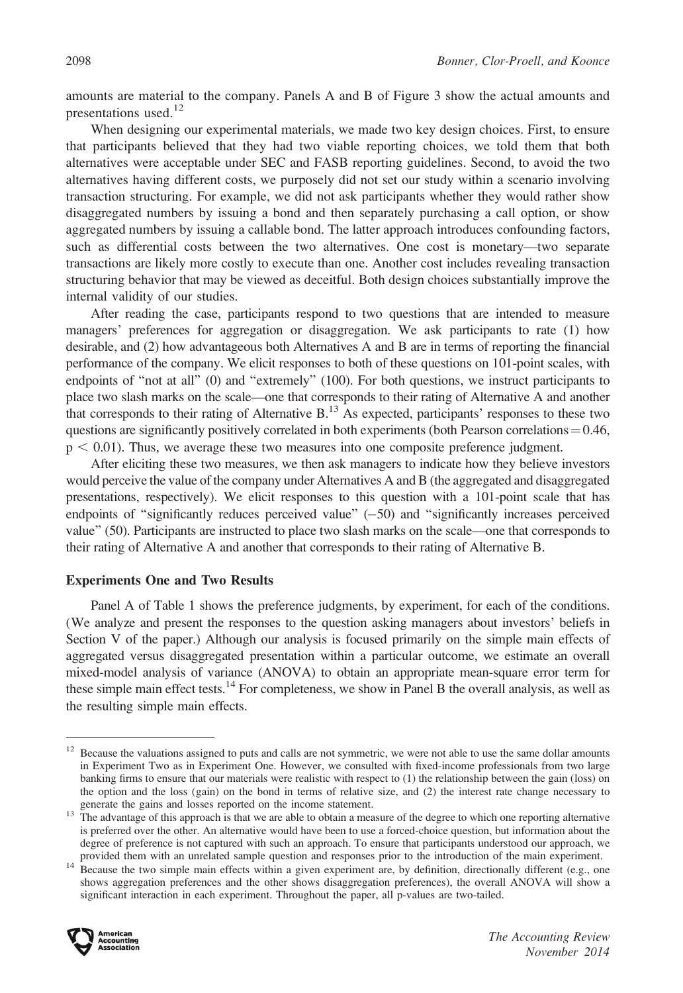amounts are material to the company. Panels A and B of Figure 3 show the actual amounts and presentations used.<sup>12</sup>

When designing our experimental materials, we made two key design choices. First, to ensure that participants believed that they had two viable reporting choices, we told them that both alternatives were acceptable under SEC and FASB reporting guidelines. Second, to avoid the two alternatives having different costs, we purposely did not set our study within a scenario involving transaction structuring. For example, we did not ask participants whether they would rather show disaggregated numbers by issuing a bond and then separately purchasing a call option, or show aggregated numbers by issuing a callable bond. The latter approach introduces confounding factors, such as differential costs between the two alternatives. One cost is monetary—two separate transactions are likely more costly to execute than one. Another cost includes revealing transaction structuring behavior that may be viewed as deceitful. Both design choices substantially improve the internal validity of our studies.

After reading the case, participants respond to two questions that are intended to measure managers' preferences for aggregation or disaggregation. We ask participants to rate (1) how desirable, and (2) how advantageous both Alternatives A and B are in terms of reporting the financial performance of the company. We elicit responses to both of these questions on 101-point scales, with endpoints of "not at all" (0) and "extremely" (100). For both questions, we instruct participants to place two slash marks on the scale—one that corresponds to their rating of Alternative A and another that corresponds to their rating of Alternative  $B<sup>13</sup>$  As expected, participants' responses to these two questions are significantly positively correlated in both experiments (both Pearson correlations  $= 0.46$ ,  $p < 0.01$ ). Thus, we average these two measures into one composite preference judgment.

After eliciting these two measures, we then ask managers to indicate how they believe investors would perceive the value of the company under Alternatives A and B (the aggregated and disaggregated presentations, respectively). We elicit responses to this question with a 101-point scale that has endpoints of "significantly reduces perceived value" (-50) and "significantly increases perceived value'' (50). Participants are instructed to place two slash marks on the scale—one that corresponds to their rating of Alternative A and another that corresponds to their rating of Alternative B.

#### Experiments One and Two Results

Panel A of Table 1 shows the preference judgments, by experiment, for each of the conditions. (We analyze and present the responses to the question asking managers about investors' beliefs in Section V of the paper.) Although our analysis is focused primarily on the simple main effects of aggregated versus disaggregated presentation within a particular outcome, we estimate an overall mixed-model analysis of variance (ANOVA) to obtain an appropriate mean-square error term for these simple main effect tests.<sup>14</sup> For completeness, we show in Panel B the overall analysis, as well as the resulting simple main effects.

provided them with an unrelated sample question and responses prior to the introduction of the main experiment.<br><sup>14</sup> Because the two simple main effects within a given experiment are, by definition, directionally different shows aggregation preferences and the other shows disaggregation preferences), the overall ANOVA will show a significant interaction in each experiment. Throughout the paper, all p-values are two-tailed.



 $12$  Because the valuations assigned to puts and calls are not symmetric, we were not able to use the same dollar amounts in Experiment Two as in Experiment One. However, we consulted with fixed-income professionals from two large banking firms to ensure that our materials were realistic with respect to (1) the relationship between the gain (loss) on the option and the loss (gain) on the bond in terms of relative size, and (2) the interest rate change necessary to generate the gains and losses reported on the income statement.

 $\frac{13}{13}$  The advantage of this approach is that we are able to obtain a measure of the degree to which one reporting alternative is preferred over the other. An alternative would have been to use a forced-choice question, but information about the degree of preference is not captured with such an approach. To ensure that participants understood our approach, we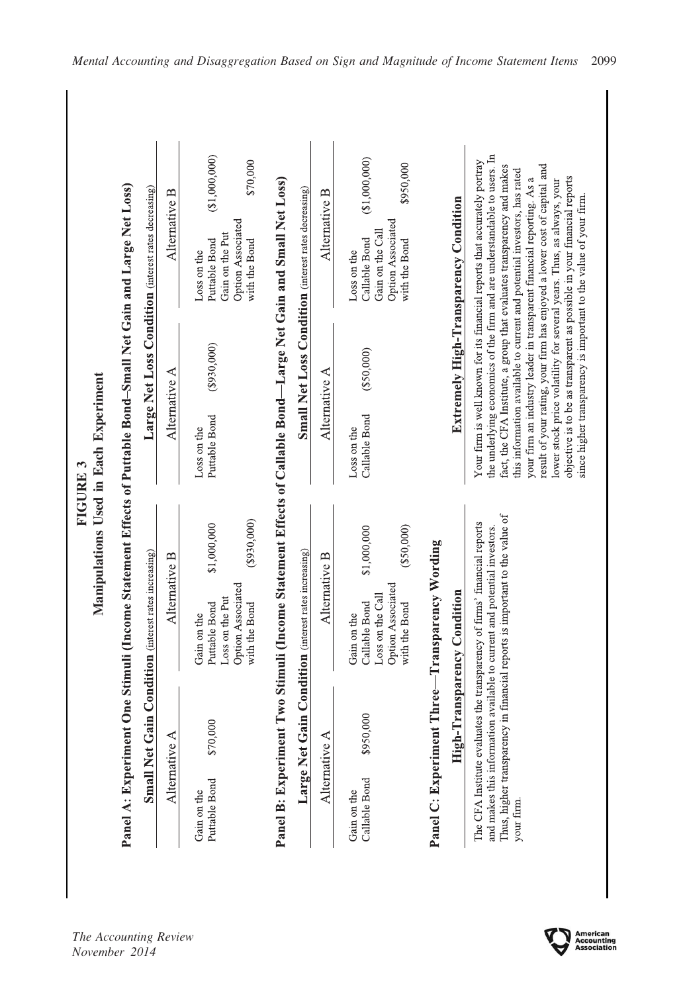| The Accounting Review |  |
|-----------------------|--|
| November 2014         |  |

|                                                   |                                                                                                               |                                                      | Alternative B | (S1,000,000)<br>\$70,000<br>Option Associated<br>Gain on the Put<br>Puttable Bond<br>with the Bond<br>Loss on the  |                                                                                                               |                                                      | Alternative B | (S1,000,000)<br>\$950.000<br>Option Associated<br>Gain on the Call<br>Callable Bond<br>with the Bond<br>Loss on the |                                                |                                              |                                                                                                                                                                                                                                                                                                                                                                                                                                                                                                                                                                                                                                                                                           |
|---------------------------------------------------|---------------------------------------------------------------------------------------------------------------|------------------------------------------------------|---------------|--------------------------------------------------------------------------------------------------------------------|---------------------------------------------------------------------------------------------------------------|------------------------------------------------------|---------------|---------------------------------------------------------------------------------------------------------------------|------------------------------------------------|----------------------------------------------|-------------------------------------------------------------------------------------------------------------------------------------------------------------------------------------------------------------------------------------------------------------------------------------------------------------------------------------------------------------------------------------------------------------------------------------------------------------------------------------------------------------------------------------------------------------------------------------------------------------------------------------------------------------------------------------------|
|                                                   | Panel A: Experiment One Stimuli (Income Statement Effects of Puttable Bond-Small Net Gain and Large Net Loss) | Large Net Loss Condition (interest rates decreasing) | Alternative A | $($ \$930,000)<br>Puttable Bond<br>Loss on the                                                                     | Panel B: Experiment Two Stimuli (Income Statement Effects of Callable Bond—Large Net Gain and Small Net Loss) | Small Net Loss Condition (interest rates decreasing) | Alternative A | ( \$50,000)<br>Callable Bond<br>Loss on the                                                                         |                                                | <b>Extremely High-Transparency Condition</b> | the underlying economics of the firm and are understandable to users. In<br>Your firm is well known for its financial reports that accurately portray<br>fact, the CFA Institute, a group that evaluates transparency and makes<br>result of your rating, your firm has enjoyed a lower cost of capital and<br>this information available to current and potential investors, has rated<br>objective is to be as transparent as possible in your financial reports<br>your firm an industry leader in transparent financial reporting. As a<br>lower stock price volatility for several years. Thus, as always, your<br>since higher transparency is important to the value of your firm. |
| Manipulations Used in Each Experiment<br>FIGURE 3 |                                                                                                               | Small Net Gain Condition (interest rates increasing) | Alternative B | (8930,000)<br>\$1,000,000<br>Option Associated<br>Loss on the Put<br>Puttable Bond<br>with the Bond<br>Gain on the |                                                                                                               | Large Net Gain Condition (interest rates increasing) | Alternative B | (\$50,000)<br>\$1,000,000<br>Option Associated<br>Loss on the Call<br>Callable Bond<br>with the Bond<br>Gain on the |                                                | <b>High-Transparency Condition</b>           | Thus, higher transparency in financial reports is important to the value of<br>transparency of firms' financial reports                                                                                                                                                                                                                                                                                                                                                                                                                                                                                                                                                                   |
|                                                   |                                                                                                               |                                                      | Alternative A | \$70,000<br>Puttable Bond<br>Gain on the                                                                           |                                                                                                               |                                                      | Alternative A | \$950,000<br>Callable Bond<br>Gain on the                                                                           | Panel C: Experiment Three-Transparency Wording |                                              | and makes this information available to current and potential investors.<br>The CFA Institute evaluates the<br>your firm.                                                                                                                                                                                                                                                                                                                                                                                                                                                                                                                                                                 |

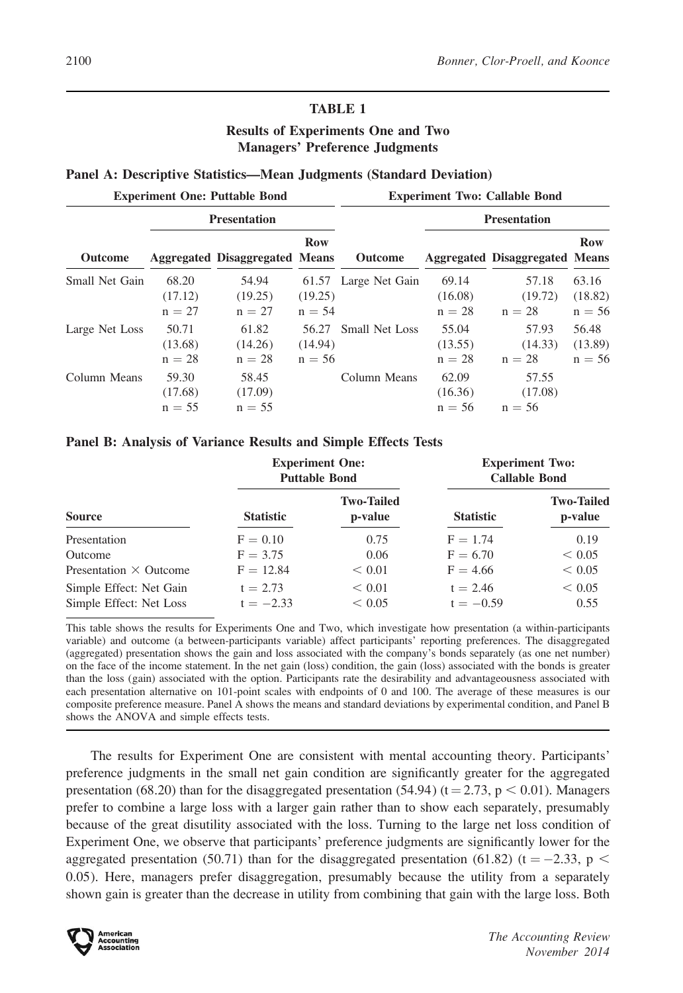# TABLE 1 Results of Experiments One and Two Managers' Preference Judgments

#### Panel A: Descriptive Statistics—Mean Judgments (Standard Deviation)

|                |                              | <b>Experiment One: Puttable Bond</b>  |                              |                       |                              | <b>Experiment Two: Callable Bond</b>  |                              |
|----------------|------------------------------|---------------------------------------|------------------------------|-----------------------|------------------------------|---------------------------------------|------------------------------|
|                |                              | <b>Presentation</b>                   |                              |                       |                              | <b>Presentation</b>                   |                              |
| <b>Outcome</b> |                              | <b>Aggregated Disaggregated Means</b> | <b>Row</b>                   | <b>Outcome</b>        |                              | <b>Aggregated Disaggregated Means</b> | <b>Row</b>                   |
| Small Net Gain | 68.20<br>(17.12)<br>$n = 27$ | 54.94<br>(19.25)<br>$n = 27$          | (19.25)<br>$n = 54$          | 61.57 Large Net Gain  | 69.14<br>(16.08)<br>$n = 28$ | 57.18<br>(19.72)<br>$n = 28$          | 63.16<br>(18.82)<br>$n = 56$ |
| Large Net Loss | 50.71<br>(13.68)<br>$n = 28$ | 61.82<br>(14.26)<br>$n = 28$          | 56.27<br>(14.94)<br>$n = 56$ | <b>Small Net Loss</b> | 55.04<br>(13.55)<br>$n = 28$ | 57.93<br>(14.33)<br>$n = 28$          | 56.48<br>(13.89)<br>$n = 56$ |
| Column Means   | 59.30<br>(17.68)<br>$n = 55$ | 58.45<br>(17.09)<br>$n = 55$          |                              | Column Means          | 62.09<br>(16.36)<br>$n = 56$ | 57.55<br>(17.08)<br>$n = 56$          |                              |

# Panel B: Analysis of Variance Results and Simple Effects Tests

|                               |                  | <b>Experiment One:</b><br><b>Puttable Bond</b> |                  | <b>Experiment Two:</b><br><b>Callable Bond</b> |
|-------------------------------|------------------|------------------------------------------------|------------------|------------------------------------------------|
| <b>Source</b>                 | <b>Statistic</b> | <b>Two-Tailed</b><br>p-value                   | <b>Statistic</b> | <b>Two-Tailed</b><br>p-value                   |
| Presentation                  | $F = 0.10$       | 0.75                                           | $F = 1.74$       | 0.19                                           |
| Outcome                       | $F = 3.75$       | 0.06                                           | $F = 6.70$       | < 0.05                                         |
| Presentation $\times$ Outcome | $F = 12.84$      | < 0.01                                         | $F = 4.66$       | < 0.05                                         |
| Simple Effect: Net Gain       | $t = 2.73$       | < 0.01                                         | $t = 2.46$       | < 0.05                                         |
| Simple Effect: Net Loss       | $t = -2.33$      | < 0.05                                         | $t = -0.59$      | 0.55                                           |

This table shows the results for Experiments One and Two, which investigate how presentation (a within-participants variable) and outcome (a between-participants variable) affect participants' reporting preferences. The disaggregated (aggregated) presentation shows the gain and loss associated with the company's bonds separately (as one net number) on the face of the income statement. In the net gain (loss) condition, the gain (loss) associated with the bonds is greater than the loss (gain) associated with the option. Participants rate the desirability and advantageousness associated with each presentation alternative on 101-point scales with endpoints of 0 and 100. The average of these measures is our composite preference measure. Panel A shows the means and standard deviations by experimental condition, and Panel B shows the ANOVA and simple effects tests.

The results for Experiment One are consistent with mental accounting theory. Participants' preference judgments in the small net gain condition are significantly greater for the aggregated presentation (68.20) than for the disaggregated presentation (54.94) ( $t = 2.73$ , p  $\lt 0.01$ ). Managers prefer to combine a large loss with a larger gain rather than to show each separately, presumably because of the great disutility associated with the loss. Turning to the large net loss condition of Experiment One, we observe that participants' preference judgments are significantly lower for the aggregated presentation (50.71) than for the disaggregated presentation (61.82) (t =  $-2.33$ , p < 0.05). Here, managers prefer disaggregation, presumably because the utility from a separately shown gain is greater than the decrease in utility from combining that gain with the large loss. Both

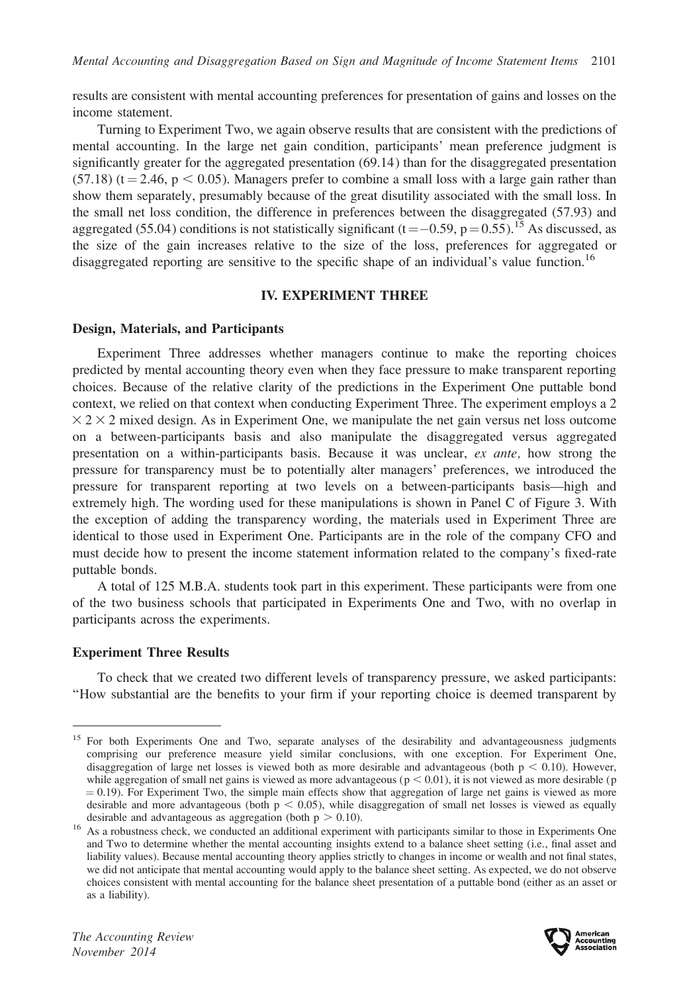results are consistent with mental accounting preferences for presentation of gains and losses on the income statement.

Turning to Experiment Two, we again observe results that are consistent with the predictions of mental accounting. In the large net gain condition, participants' mean preference judgment is significantly greater for the aggregated presentation (69.14) than for the disaggregated presentation  $(57.18)$  (t = 2.46, p < 0.05). Managers prefer to combine a small loss with a large gain rather than show them separately, presumably because of the great disutility associated with the small loss. In the small net loss condition, the difference in preferences between the disaggregated (57.93) and aggregated (55.04) conditions is not statistically significant (t = -0.59, p = 0.55).<sup>15</sup> As discussed, as the size of the gain increases relative to the size of the loss, preferences for aggregated or disaggregated reporting are sensitive to the specific shape of an individual's value function.<sup>16</sup>

#### IV. EXPERIMENT THREE

#### Design, Materials, and Participants

Experiment Three addresses whether managers continue to make the reporting choices predicted by mental accounting theory even when they face pressure to make transparent reporting choices. Because of the relative clarity of the predictions in the Experiment One puttable bond context, we relied on that context when conducting Experiment Three. The experiment employs a 2  $\times$  2  $\times$  2 mixed design. As in Experiment One, we manipulate the net gain versus net loss outcome on a between-participants basis and also manipulate the disaggregated versus aggregated presentation on a within-participants basis. Because it was unclear, ex ante, how strong the pressure for transparency must be to potentially alter managers' preferences, we introduced the pressure for transparent reporting at two levels on a between-participants basis—high and extremely high. The wording used for these manipulations is shown in Panel C of Figure 3. With the exception of adding the transparency wording, the materials used in Experiment Three are identical to those used in Experiment One. Participants are in the role of the company CFO and must decide how to present the income statement information related to the company's fixed-rate puttable bonds.

A total of 125 M.B.A. students took part in this experiment. These participants were from one of the two business schools that participated in Experiments One and Two, with no overlap in participants across the experiments.

#### Experiment Three Results

To check that we created two different levels of transparency pressure, we asked participants: ''How substantial are the benefits to your firm if your reporting choice is deemed transparent by

<sup>&</sup>lt;sup>15</sup> For both Experiments One and Two, separate analyses of the desirability and advantageousness judgments comprising our preference measure yield similar conclusions, with one exception. For Experiment One, disaggregation of large net losses is viewed both as more desirable and advantageous (both  $p < 0.10$ ). However, while aggregation of small net gains is viewed as more advantageous ( $p < 0.01$ ), it is not viewed as more desirable (p  $(0.19)$ . For Experiment Two, the simple main effects show that aggregation of large net gains is viewed as more desirable and more advantageous (both  $p < 0.05$ ), while disaggregation of small net losses is viewed as equally desirable and advantageous as aggregation (both  $p > 0.10$ ).

<sup>&</sup>lt;sup>16</sup> As a robustness check, we conducted an additional experiment with participants similar to those in Experiments One and Two to determine whether the mental accounting insights extend to a balance sheet setting (i.e., final asset and liability values). Because mental accounting theory applies strictly to changes in income or wealth and not final states, we did not anticipate that mental accounting would apply to the balance sheet setting. As expected, we do not observe choices consistent with mental accounting for the balance sheet presentation of a puttable bond (either as an asset or as a liability).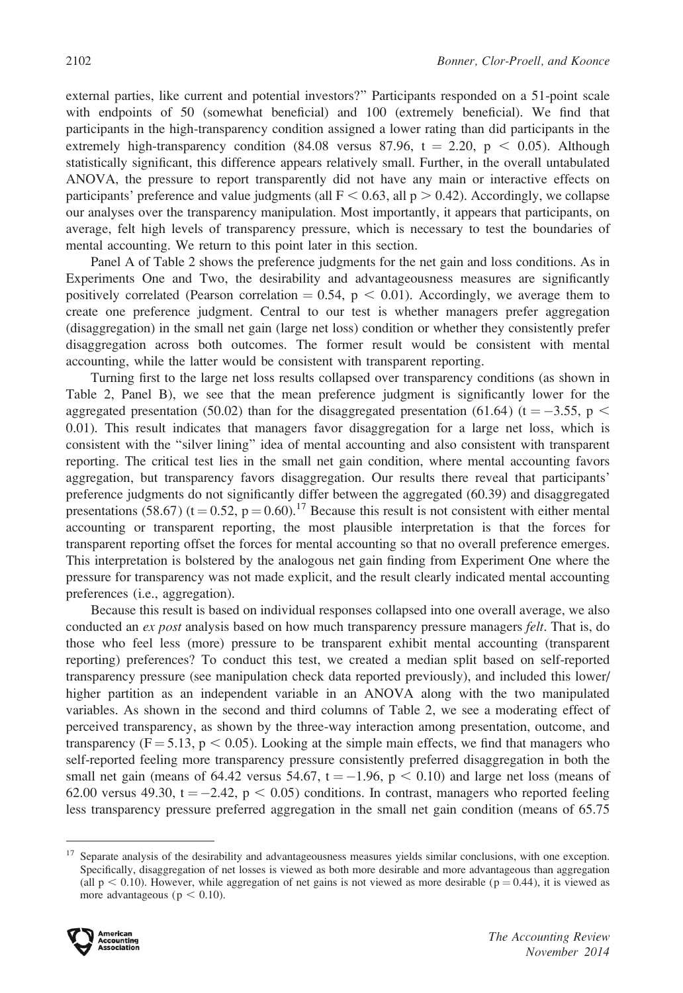external parties, like current and potential investors?'' Participants responded on a 51-point scale with endpoints of 50 (somewhat beneficial) and 100 (extremely beneficial). We find that participants in the high-transparency condition assigned a lower rating than did participants in the extremely high-transparency condition (84.08 versus 87.96,  $t = 2.20$ ,  $p < 0.05$ ). Although statistically significant, this difference appears relatively small. Further, in the overall untabulated ANOVA, the pressure to report transparently did not have any main or interactive effects on participants' preference and value judgments (all  $F < 0.63$ , all  $p > 0.42$ ). Accordingly, we collapse our analyses over the transparency manipulation. Most importantly, it appears that participants, on average, felt high levels of transparency pressure, which is necessary to test the boundaries of mental accounting. We return to this point later in this section.

Panel A of Table 2 shows the preference judgments for the net gain and loss conditions. As in Experiments One and Two, the desirability and advantageousness measures are significantly positively correlated (Pearson correlation  $= 0.54$ , p  $< 0.01$ ). Accordingly, we average them to create one preference judgment. Central to our test is whether managers prefer aggregation (disaggregation) in the small net gain (large net loss) condition or whether they consistently prefer disaggregation across both outcomes. The former result would be consistent with mental accounting, while the latter would be consistent with transparent reporting.

Turning first to the large net loss results collapsed over transparency conditions (as shown in Table 2, Panel B), we see that the mean preference judgment is significantly lower for the aggregated presentation (50.02) than for the disaggregated presentation (61.64) (t =  $-3.55$ , p < 0.01). This result indicates that managers favor disaggregation for a large net loss, which is consistent with the ''silver lining'' idea of mental accounting and also consistent with transparent reporting. The critical test lies in the small net gain condition, where mental accounting favors aggregation, but transparency favors disaggregation. Our results there reveal that participants' preference judgments do not significantly differ between the aggregated (60.39) and disaggregated presentations (58.67) (t = 0.52, p = 0.60).<sup>17</sup> Because this result is not consistent with either mental accounting or transparent reporting, the most plausible interpretation is that the forces for transparent reporting offset the forces for mental accounting so that no overall preference emerges. This interpretation is bolstered by the analogous net gain finding from Experiment One where the pressure for transparency was not made explicit, and the result clearly indicated mental accounting preferences (i.e., aggregation).

Because this result is based on individual responses collapsed into one overall average, we also conducted an *ex post* analysis based on how much transparency pressure managers *felt*. That is, do those who feel less (more) pressure to be transparent exhibit mental accounting (transparent reporting) preferences? To conduct this test, we created a median split based on self-reported transparency pressure (see manipulation check data reported previously), and included this lower/ higher partition as an independent variable in an ANOVA along with the two manipulated variables. As shown in the second and third columns of Table 2, we see a moderating effect of perceived transparency, as shown by the three-way interaction among presentation, outcome, and transparency ( $F = 5.13$ ,  $p < 0.05$ ). Looking at the simple main effects, we find that managers who self-reported feeling more transparency pressure consistently preferred disaggregation in both the small net gain (means of 64.42 versus 54.67,  $t = -1.96$ ,  $p < 0.10$ ) and large net loss (means of 62.00 versus 49.30,  $t = -2.42$ ,  $p < 0.05$ ) conditions. In contrast, managers who reported feeling less transparency pressure preferred aggregation in the small net gain condition (means of 65.75

<sup>&</sup>lt;sup>17</sup> Separate analysis of the desirability and advantageousness measures yields similar conclusions, with one exception. Specifically, disaggregation of net losses is viewed as both more desirable and more advantageous than aggregation (all  $p < 0.10$ ). However, while aggregation of net gains is not viewed as more desirable ( $p = 0.44$ ), it is viewed as more advantageous ( $p < 0.10$ ).

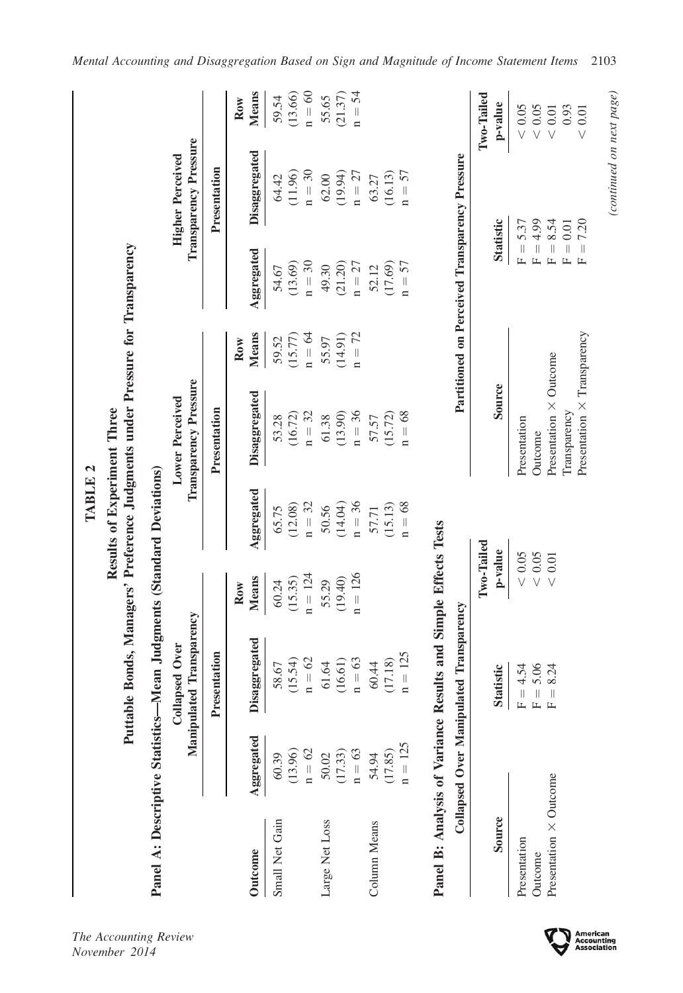|                               |                  |                                                                                                                                                                                                               |                     | TABLE <sub>2</sub>                 |                                                 |                     |                                |                                                  |                   |
|-------------------------------|------------------|---------------------------------------------------------------------------------------------------------------------------------------------------------------------------------------------------------------|---------------------|------------------------------------|-------------------------------------------------|---------------------|--------------------------------|--------------------------------------------------|-------------------|
|                               |                  | Puttable Bonds, Managers' Preference Judgments under Pressure for Transparency                                                                                                                                |                     | <b>Results of Experiment Three</b> |                                                 |                     |                                |                                                  |                   |
|                               |                  | Panel A: Descriptive Statistics-Mean Judgments (Standard Deviations)                                                                                                                                          |                     |                                    |                                                 |                     |                                |                                                  |                   |
|                               |                  | Manipulated Transparency<br><b>Collapsed Over</b>                                                                                                                                                             |                     |                                    | Transparency Pressure<br><b>Lower Perceived</b> |                     |                                | Transparency Pressure<br><b>Higher Perceived</b> |                   |
|                               |                  | Presentation                                                                                                                                                                                                  |                     |                                    | Presentation                                    |                     |                                | Presentation                                     |                   |
| Outcome                       | Aggregated       | Disaggregated                                                                                                                                                                                                 | <b>Means</b><br>Row | Aggregated                         | Disaggregated                                   | <b>Means</b><br>Row | Aggregated                     | Disaggregated                                    | Means<br>Row      |
|                               |                  |                                                                                                                                                                                                               |                     |                                    |                                                 |                     |                                |                                                  |                   |
| Small Net Gain                | (13.96)<br>60.39 | (15.54)<br>58.67                                                                                                                                                                                              | (15.35)<br>60.24    | (12.08)<br>65.75                   | (16.72)<br>53.28                                | (15.77)<br>59.52    | (13.69)<br>54.67               | (11.96)<br>64.42                                 | (13.66)<br>59.54  |
|                               | $n = 62$         | $n = 62$                                                                                                                                                                                                      | $n = 124$           | $n = 32$                           | $n = 32$                                        | $n = 64$            | $n = 30$                       | $n = 30$                                         | $n = 60$          |
| Large Net Loss                | 50.02            | 61.64                                                                                                                                                                                                         | 55.29               | 50.56                              | 61.38                                           | 55.97               | 49.30                          | 62.00                                            | 55.65             |
|                               | (17.33)          | (16.61)                                                                                                                                                                                                       | (19.40)             | (14.04)                            | (13.90)                                         | (14.91)             | (21.20)                        | (19.94)                                          | (21.37)           |
|                               | $n = 63$         | $n = 63$                                                                                                                                                                                                      | $n = 126$           | $n = 36$                           | $n = 36$                                        | $n = 72$            | $n = 27$                       | $n = 27$                                         | $n = 54$          |
| Column Means                  | 54.94            | 60.44                                                                                                                                                                                                         |                     | 57.71                              | 57.57                                           |                     | 52.12                          | 63.27                                            |                   |
|                               | (17.85)          | (17.18)                                                                                                                                                                                                       |                     | (15.13)                            | (15.72)                                         |                     | (17.69)                        | (16.13)                                          |                   |
|                               | $n = 125$        | $= 125$<br>$\overline{a}$                                                                                                                                                                                     |                     | $n = 68$                           | $n = 68$                                        |                     | $n = 57$                       | $n = 57$                                         |                   |
|                               |                  | Panel B: Analysis of Variance Results and Simple Effects Tests                                                                                                                                                |                     |                                    |                                                 |                     |                                |                                                  |                   |
|                               |                  | Collapsed Over Manipulated Transparency                                                                                                                                                                       |                     |                                    |                                                 |                     |                                | Partitioned on Perceived Transparency Pressure   |                   |
|                               |                  |                                                                                                                                                                                                               | Two-Tailed          |                                    |                                                 |                     |                                |                                                  | <b>Iwo-Tailed</b> |
| Source                        |                  | <b>Statistic</b>                                                                                                                                                                                              | p-value             |                                    | Source                                          |                     | Statistic                      |                                                  | p-value           |
| Presentation                  |                  | 4.54<br>$\frac{1}{2}$<br>$\begin{array}{c} \begin{array}{c} \begin{array}{c} \begin{array}{c} \end{array}\\ \end{array} \\ \begin{array}{c} \begin{array}{c} \end{array} \end{array} \end{array} \end{array}$ | < 0.05              |                                    | Presentation                                    |                     | $\left  {}\right $<br>Ľ.       | 5.37                                             | < 0.05            |
| Outcome                       |                  | 5.06<br>$\overline{\mathbf{I}}$                                                                                                                                                                               | $\leq 0.05$         |                                    | Outcome                                         |                     | $\overline{\mathbf{I}}$<br>LT_ | 4.99                                             | $\leq 0.05$       |
| Presentation $\times$ Outcome |                  | 8.24<br>$\overline{\mathbf{I}}$                                                                                                                                                                               | < 0.01              |                                    | Presentation $\times$ Outcome                   |                     | $\vert\vert$                   | 8.54                                             | $< 0.01$          |
|                               |                  |                                                                                                                                                                                                               |                     |                                    | Transparency                                    |                     |                                | 0.01                                             | 0.93              |
|                               |                  |                                                                                                                                                                                                               |                     |                                    | Presentation X Transparency                     |                     | $\mathbf{I}$                   | 7.20                                             | $< 0.01\,$        |

 $(continued on next page)$ (continued on next page)

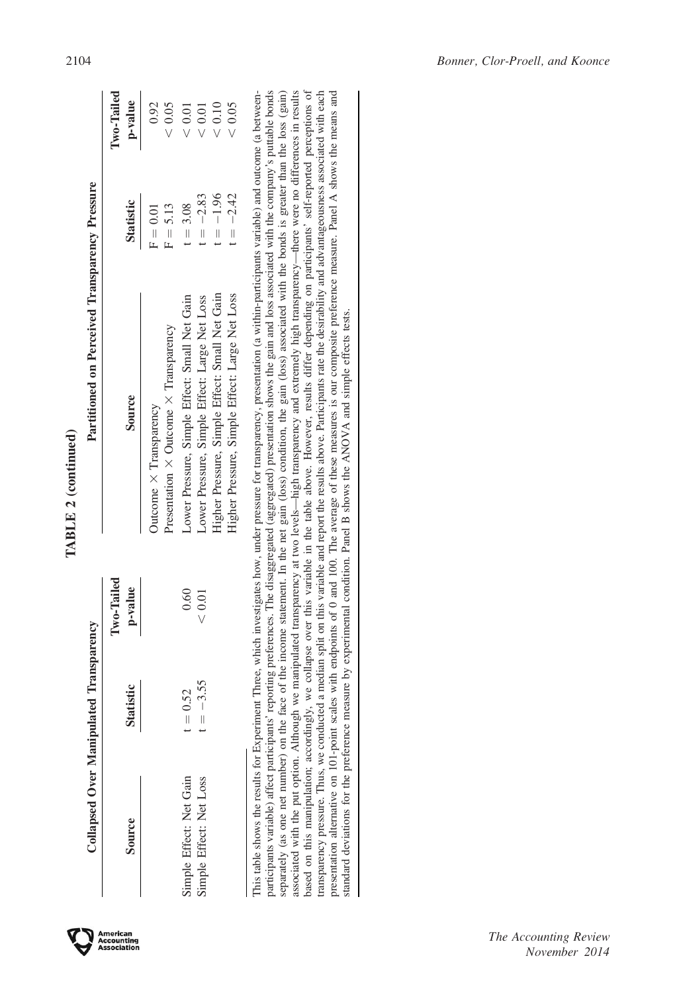| ١ |
|---|
| É |

Partitioned on Perceived Transparency Pressure

| Source                  | <b>Statistic</b>        | <b>Two-Tailed<br/>p-value</b> | Source                                                                                 | <b>Statistic</b>       | <b>Iwo-Tailed</b><br>p-value                  |
|-------------------------|-------------------------|-------------------------------|----------------------------------------------------------------------------------------|------------------------|-----------------------------------------------|
|                         |                         |                               | resentation $\times$ Outcome $\times$ Transparency<br>$D$ utcome $\times$ Transparency | $= 5.13$<br>$F = 0.01$ | $\begin{array}{c} 0.92 \\ < 0.05 \end{array}$ |
| 'imple Effect: Net Gain | 0.52<br>II.             | 0.60                          | ower Pressure, Simple Effect: Small Net Gain                                           | $t = 3.08$             | $0.01$<br>$0.01$<br>$0.01$<br>$0.01$          |
| 'imple Effect: Net Loss | $-3.55$<br>$\mathbf{t}$ | $< 0.01$                      | ower Pressure, Simple Effect: Large Net Loss                                           | $t = -2.83$            |                                               |
|                         |                         |                               | Higher Pressure, Simple Effect: Small Net Gain                                         | $t = -1.96$            |                                               |
|                         |                         |                               | Higher Pressure, Simple Effect: Large Net Loss                                         | $=-2.42$               | $< 0.05$                                      |
|                         |                         |                               |                                                                                        |                        |                                               |

This table shows the results for Experiment Three, which investigates how, under pressure for transparency, presentation (a within-participants variable) and outcome (a betweenparticipants variable) affect participants' reporting preferences. The disaggregated (aggregated) presentation shows the gain and loss associated with the company's puttable bonds separately (as one net number) on the face of the income statement. In the net gain (loss) condition, the gain (loss) associated with the bonds is greater than the loss (gain) associated with the put option. Although we manipulated transparency at two levels—high transparency and extremely high transparency—there were no differences in results based on this manipulation; accordingly, we collapse over this variable in the table above. However, results differ depending on participants' self-reported perceptions of based on this manipulation; accordingly, we collapse over this variable in the table above. However, results differ depending on participants' self-reported perceptions of transparency pressure. Thus, we conducted a median split on this variable and report the results above. Participants rate the desirability and advantageousness associated with each presentation alternative on 101-point scales with endpoints of 0 and 100. The average of these measures is our composite preference measure. Panel A shows the means and This table shows the results for Experiment Three, which investigates how, under pressure for transparency, presentation (a within-participants variable) and outcome (a betweenparticipants variable) affect participants' reporting preferences. The disaggregated (aggregated) presentation shows the gain and loss associated with the company's puttable bonds separately (as one net number) on the face of the income statement. In the net gain (loss) condition, the gain (loss) associated with the bonds is greater than the loss (gain) associated with the put option. Although we manipulated transparency at two levels—high transparency and extremely high transparency—there were no differences in results transparency pressure. Thus, we conducted a median split on this variable and report the results above. Participants rate the desirability and advantageousness associated with each presentation alternative on 101-point scales with endpoints of 0 and 100. The average of these measures is our composite preference measure. Panel A shows the means and standard deviations for the preference measure by experimental condition. Panel B shows the ANOVA and simple effects tests. standard deviations for the preference measure by experimental condition. Panel B shows the ANOVA and simple effects tests.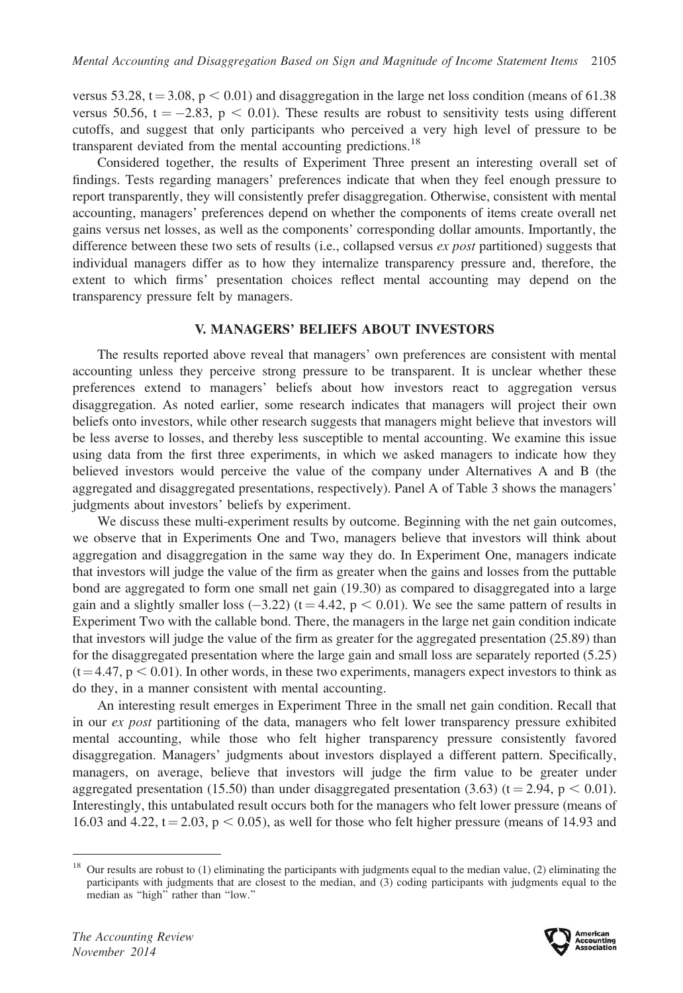versus 53.28, t = 3.08, p < 0.01) and disaggregation in the large net loss condition (means of 61.38 versus 50.56,  $t = -2.83$ ,  $p < 0.01$ ). These results are robust to sensitivity tests using different cutoffs, and suggest that only participants who perceived a very high level of pressure to be transparent deviated from the mental accounting predictions.<sup>18</sup>

Considered together, the results of Experiment Three present an interesting overall set of findings. Tests regarding managers' preferences indicate that when they feel enough pressure to report transparently, they will consistently prefer disaggregation. Otherwise, consistent with mental accounting, managers' preferences depend on whether the components of items create overall net gains versus net losses, as well as the components' corresponding dollar amounts. Importantly, the difference between these two sets of results (i.e., collapsed versus  $ex$  post partitioned) suggests that individual managers differ as to how they internalize transparency pressure and, therefore, the extent to which firms' presentation choices reflect mental accounting may depend on the transparency pressure felt by managers.

# V. MANAGERS' BELIEFS ABOUT INVESTORS

The results reported above reveal that managers' own preferences are consistent with mental accounting unless they perceive strong pressure to be transparent. It is unclear whether these preferences extend to managers' beliefs about how investors react to aggregation versus disaggregation. As noted earlier, some research indicates that managers will project their own beliefs onto investors, while other research suggests that managers might believe that investors will be less averse to losses, and thereby less susceptible to mental accounting. We examine this issue using data from the first three experiments, in which we asked managers to indicate how they believed investors would perceive the value of the company under Alternatives A and B (the aggregated and disaggregated presentations, respectively). Panel A of Table 3 shows the managers' judgments about investors' beliefs by experiment.

We discuss these multi-experiment results by outcome. Beginning with the net gain outcomes, we observe that in Experiments One and Two, managers believe that investors will think about aggregation and disaggregation in the same way they do. In Experiment One, managers indicate that investors will judge the value of the firm as greater when the gains and losses from the puttable bond are aggregated to form one small net gain (19.30) as compared to disaggregated into a large gain and a slightly smaller loss  $(-3.22)$  (t = 4.42, p < 0.01). We see the same pattern of results in Experiment Two with the callable bond. There, the managers in the large net gain condition indicate that investors will judge the value of the firm as greater for the aggregated presentation (25.89) than for the disaggregated presentation where the large gain and small loss are separately reported (5.25)  $(t=4.47, p < 0.01)$ . In other words, in these two experiments, managers expect investors to think as do they, in a manner consistent with mental accounting.

An interesting result emerges in Experiment Three in the small net gain condition. Recall that in our  $ex$  post partitioning of the data, managers who felt lower transparency pressure exhibited mental accounting, while those who felt higher transparency pressure consistently favored disaggregation. Managers' judgments about investors displayed a different pattern. Specifically, managers, on average, believe that investors will judge the firm value to be greater under aggregated presentation (15.50) than under disaggregated presentation (3.63) (t = 2.94, p < 0.01). Interestingly, this untabulated result occurs both for the managers who felt lower pressure (means of 16.03 and 4.22,  $t = 2.03$ ,  $p < 0.05$ ), as well for those who felt higher pressure (means of 14.93 and

 $18$  Our results are robust to (1) eliminating the participants with judgments equal to the median value, (2) eliminating the participants with judgments that are closest to the median, and (3) coding participants with judgments equal to the median as ''high'' rather than ''low.''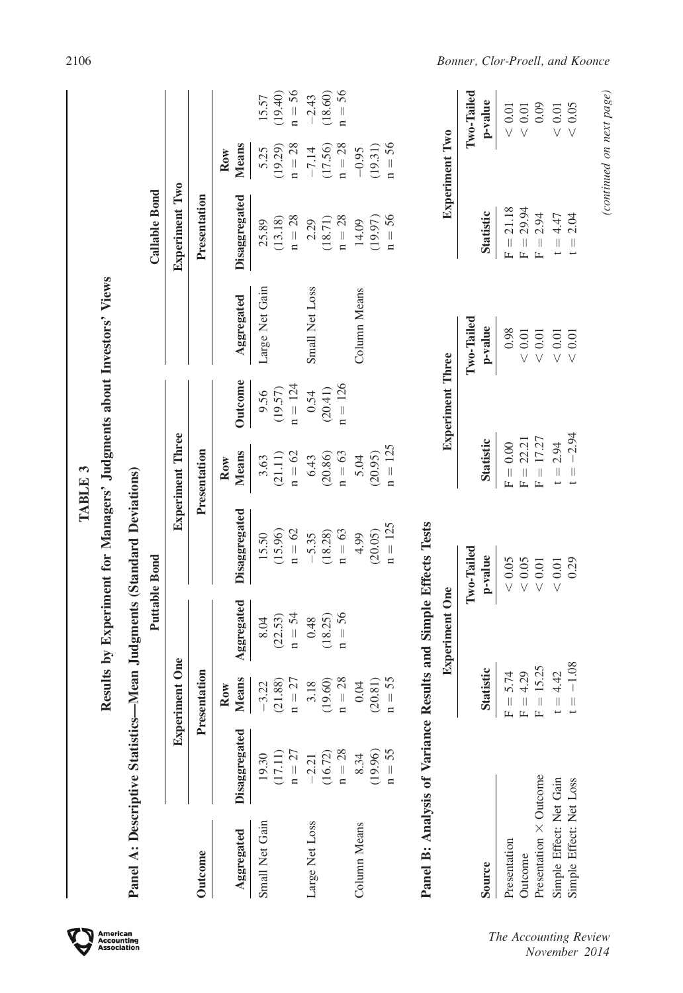|                                                                                                                |                                |                                                                                                                                                                                                                                |                             |                                                                      | TABLE 3                                                                                                     |                              | Results by Experiment for Managers' Judgments about Investors' Views |                                                                                                             |                                |                                                               |
|----------------------------------------------------------------------------------------------------------------|--------------------------------|--------------------------------------------------------------------------------------------------------------------------------------------------------------------------------------------------------------------------------|-----------------------------|----------------------------------------------------------------------|-------------------------------------------------------------------------------------------------------------|------------------------------|----------------------------------------------------------------------|-------------------------------------------------------------------------------------------------------------|--------------------------------|---------------------------------------------------------------|
|                                                                                                                |                                |                                                                                                                                                                                                                                |                             | Panel A: Descriptive Statistics-Mean Judgments (Standard Deviations) |                                                                                                             |                              |                                                                      |                                                                                                             |                                |                                                               |
|                                                                                                                |                                |                                                                                                                                                                                                                                | Puttable Bond               |                                                                      |                                                                                                             |                              |                                                                      | Callable Bond                                                                                               |                                |                                                               |
|                                                                                                                |                                | <b>Experiment One</b>                                                                                                                                                                                                          |                             |                                                                      | <b>Experiment Three</b>                                                                                     |                              |                                                                      | <b>Experiment Two</b>                                                                                       |                                |                                                               |
| Outcome                                                                                                        |                                | Presentation                                                                                                                                                                                                                   |                             |                                                                      | Presentation                                                                                                |                              |                                                                      | Presentation                                                                                                |                                |                                                               |
| Aggregated                                                                                                     | Disaggregated                  | <b>Means</b><br>Row                                                                                                                                                                                                            | Aggregated                  | Disaggregated                                                        | <b>Means</b><br>Row                                                                                         | Outcome                      | Aggregated                                                           | Disaggregated                                                                                               | <b>Means</b><br>Row            |                                                               |
| Small Net Gain                                                                                                 | $n = 27$<br>(17.11)<br>19.30   | $\rm n=27$<br>(21.88)<br>$-3.22$                                                                                                                                                                                               | (22.53)<br>$n = 54$<br>8.04 | $\rm n=62$<br>(15.96)<br>15.50                                       | $n = 62$<br>(21.11)<br>3.63                                                                                 | $n = 124$<br>(19.57)<br>9.56 | Large Net Gain                                                       | $n = 28$<br>(13.18)<br>25.89                                                                                | $n = 28$<br>(19.29)<br>5.25    | $n = 56$<br>(19.40)<br>15.57                                  |
| Large Net Loss                                                                                                 | $n = 28$<br>(16.72)<br>$-2.21$ | $\rm n=28$<br>(19.60)<br>3.18                                                                                                                                                                                                  | $n = 56$<br>(18.25)<br>0.48 | $n = 63$<br>(18.28)<br>$-5.35$                                       | $n = 63$<br>(20.86)<br>6.43                                                                                 | $n = 126$<br>(20.41)<br>0.54 | Small Net Loss                                                       | $\rm n=28$<br>(18.71)<br>2.29                                                                               | (17.56)<br>$n = 28$<br>$-7.14$ | $n = 56$<br>(18.60)<br>$-2.43$                                |
| Panel B: Analysis of Variance Results and Simple Effects Tests<br>Column Means                                 | $n = 55$<br>(19.96)<br>8.34    | $n = 55$<br>(20.81)<br>$\overline{0}$<br>$\circ$                                                                                                                                                                               |                             | $n = 125$<br>(20.05)<br>4.99                                         | $n = 125$<br>(20.95)<br>5.04                                                                                |                              | Column Means                                                         | $n = 56$<br>(19.97)<br>14.09                                                                                | $n = 56$<br>(19.31)<br>$-0.95$ |                                                               |
|                                                                                                                |                                |                                                                                                                                                                                                                                | <b>Experiment One</b>       |                                                                      |                                                                                                             | <b>Experiment Three</b>      |                                                                      |                                                                                                             | <b>Experiment Two</b>          |                                                               |
| Source                                                                                                         |                                | <b>Statistic</b>                                                                                                                                                                                                               |                             | <b>Two-Tailed</b><br>p-value                                         | <b>Statistic</b>                                                                                            |                              | Two-Tailed<br>p-value                                                | <b>Statistic</b>                                                                                            |                                | Two-Tailed<br>p-value                                         |
| Presentation $\times$ Outcome<br>Simple Effect: Net Gain<br>Simple Effect: Net Loss<br>Presentation<br>Outcome |                                | $-1.08$<br>15.25<br>4.42<br>5.74<br>4.29<br>$\frac{\parallel}{\parallel}$<br>$\frac{\parallel}{\perp}$<br>$\frac{\mathbb{I}}{\mathbb{I}}$<br>$\frac{1}{2}$<br>$\frac{\prod_{i=1}^{n} \left\lceil \frac{1}{n} \right\rceil}{n}$ |                             | < 0.05<br>$\leq 0.05$<br>0.29<br>$\leq 0.01$<br>$\leq 0.01$          | $-2.94$<br>$= 17.27$<br>$= 22.21$<br>2.94<br>$\mathrm{F}=0.00$<br>$\frac{1}{2}$<br>$\equiv$<br>Ľ.<br>$\Box$ |                              | 0.98<br>$\leq 0.01$<br>$\leq 0.01$<br>$\leq 0.01$<br>$\leq 0.01$     | 21.18<br>$F = 29.94$<br>2.94<br>4.47<br>2.04<br>$\frac{1}{1}$<br>$\frac{1}{2}$<br>$\frac{1}{2}$<br>$\equiv$ |                                | 0.09<br>$< 0.05$<br>$\leq 0.01$<br>$\leq 0.01$<br>$\leq 0.01$ |

American<br>Accounting<br>Association J

(continued on next page)

(continued on next page)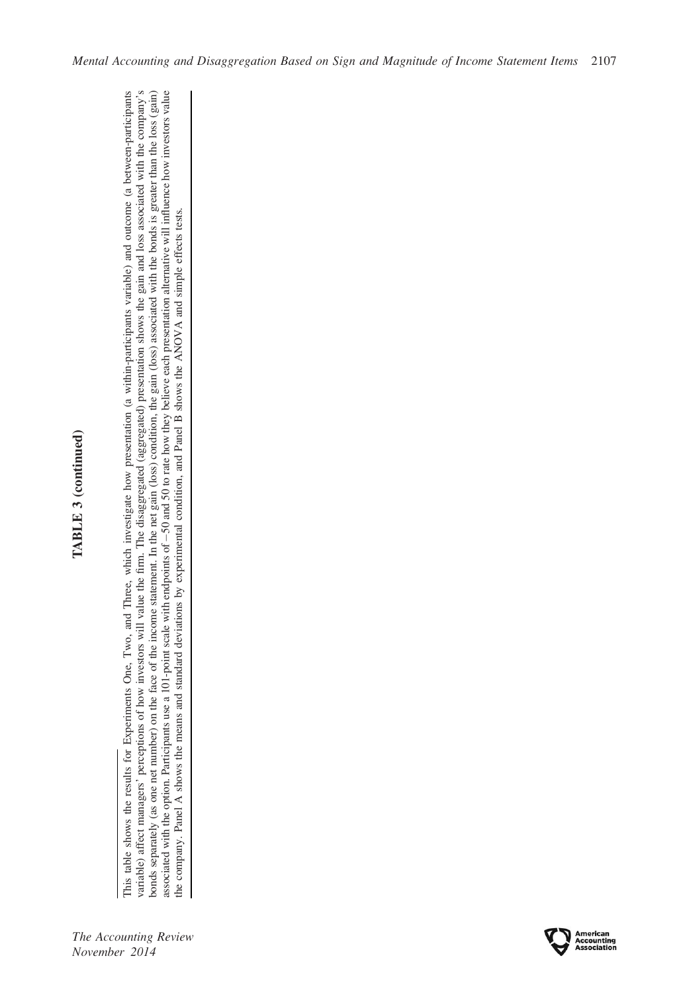TABLE 3 (continued) TABLE 3 (continued) This table shows the results for Experiments One, Two, and Three, which investigate how presentation (a within-participants variable) and outcome (a between-participants variable) affect managers' perceptions of how investors will value the firm. The disaggregated (aggregated) presentation shows the gain and loss associated with the company's bonds separately (as one net number) on the face of the income statement. In the net gain (loss) condition, the gain (loss) associated with the bonds is greater than the loss (gain) associated with the option. Participants use a 101-point scale with endpoints of -50 and 50 to rate how they believe each presentation alternative will influence how investors value This table shows the results for Experiments One, Two, and Three, which investigate how presentation (a within-participants variable) and outcome (a between-participants variable) affect managers' perceptions of how investors will value the firm. The disaggregated (aggregated) presentation shows the gain and loss associated with the company's bonds separately (as one net number) on the face of the income statement. In the net gain (loss) condition, the gain (loss) associated with the bonds is greater than the loss (gain) 50 and 50 to rate how they believe each presentation alternative will influence how investors value the company. Panel A shows the means and standard deviations by experimental condition, and Panel B shows the ANOVA and simple effects tests. the company. Panel A shows the means and standard deviations by experimental condition, and Panel B shows the ANOVA and simple effects tests. associated with the option. Participants use a 101-point scale with endpoints of

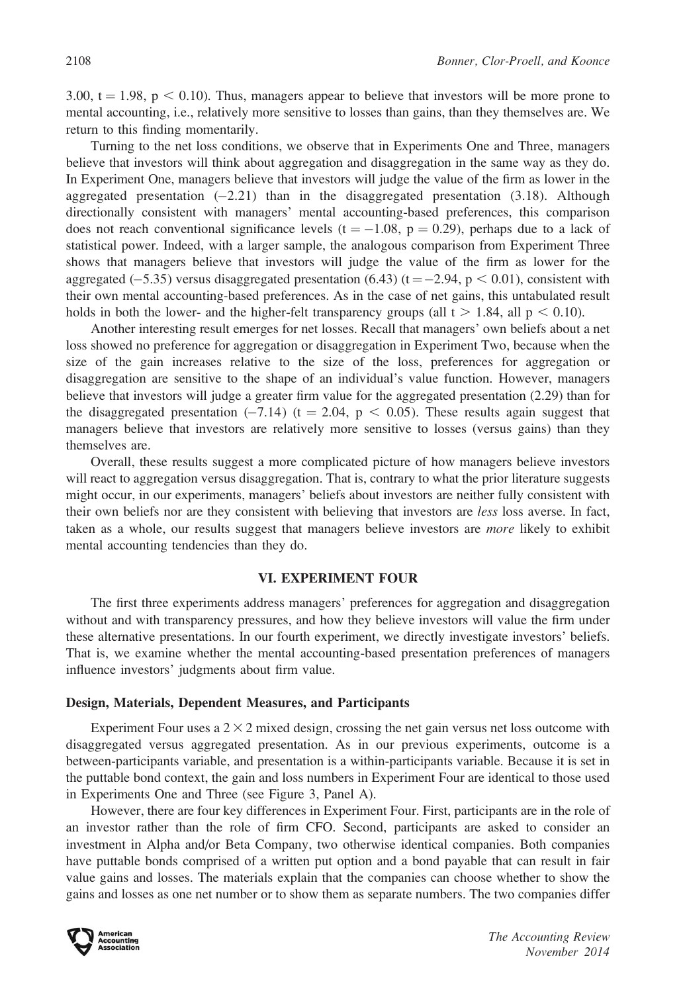3.00,  $t = 1.98$ ,  $p < 0.10$ ). Thus, managers appear to believe that investors will be more prone to mental accounting, i.e., relatively more sensitive to losses than gains, than they themselves are. We return to this finding momentarily.

Turning to the net loss conditions, we observe that in Experiments One and Three, managers believe that investors will think about aggregation and disaggregation in the same way as they do. In Experiment One, managers believe that investors will judge the value of the firm as lower in the aggregated presentation  $(-2.21)$  than in the disaggregated presentation  $(3.18)$ . Although directionally consistent with managers' mental accounting-based preferences, this comparison does not reach conventional significance levels ( $t = -1.08$ ,  $p = 0.29$ ), perhaps due to a lack of statistical power. Indeed, with a larger sample, the analogous comparison from Experiment Three shows that managers believe that investors will judge the value of the firm as lower for the aggregated  $(-5.35)$  versus disaggregated presentation  $(6.43)$   $(t = -2.94, p < 0.01)$ , consistent with their own mental accounting-based preferences. As in the case of net gains, this untabulated result holds in both the lower- and the higher-felt transparency groups (all  $t > 1.84$ , all  $p < 0.10$ ).

Another interesting result emerges for net losses. Recall that managers' own beliefs about a net loss showed no preference for aggregation or disaggregation in Experiment Two, because when the size of the gain increases relative to the size of the loss, preferences for aggregation or disaggregation are sensitive to the shape of an individual's value function. However, managers believe that investors will judge a greater firm value for the aggregated presentation (2.29) than for the disaggregated presentation  $(-7.14)$  (t = 2.04, p < 0.05). These results again suggest that managers believe that investors are relatively more sensitive to losses (versus gains) than they themselves are.

Overall, these results suggest a more complicated picture of how managers believe investors will react to aggregation versus disaggregation. That is, contrary to what the prior literature suggests might occur, in our experiments, managers' beliefs about investors are neither fully consistent with their own beliefs nor are they consistent with believing that investors are *less* loss averse. In fact, taken as a whole, our results suggest that managers believe investors are *more* likely to exhibit mental accounting tendencies than they do.

# VI. EXPERIMENT FOUR

The first three experiments address managers' preferences for aggregation and disaggregation without and with transparency pressures, and how they believe investors will value the firm under these alternative presentations. In our fourth experiment, we directly investigate investors' beliefs. That is, we examine whether the mental accounting-based presentation preferences of managers influence investors' judgments about firm value.

#### Design, Materials, Dependent Measures, and Participants

Experiment Four uses a  $2 \times 2$  mixed design, crossing the net gain versus net loss outcome with disaggregated versus aggregated presentation. As in our previous experiments, outcome is a between-participants variable, and presentation is a within-participants variable. Because it is set in the puttable bond context, the gain and loss numbers in Experiment Four are identical to those used in Experiments One and Three (see Figure 3, Panel A).

However, there are four key differences in Experiment Four. First, participants are in the role of an investor rather than the role of firm CFO. Second, participants are asked to consider an investment in Alpha and/or Beta Company, two otherwise identical companies. Both companies have puttable bonds comprised of a written put option and a bond payable that can result in fair value gains and losses. The materials explain that the companies can choose whether to show the gains and losses as one net number or to show them as separate numbers. The two companies differ

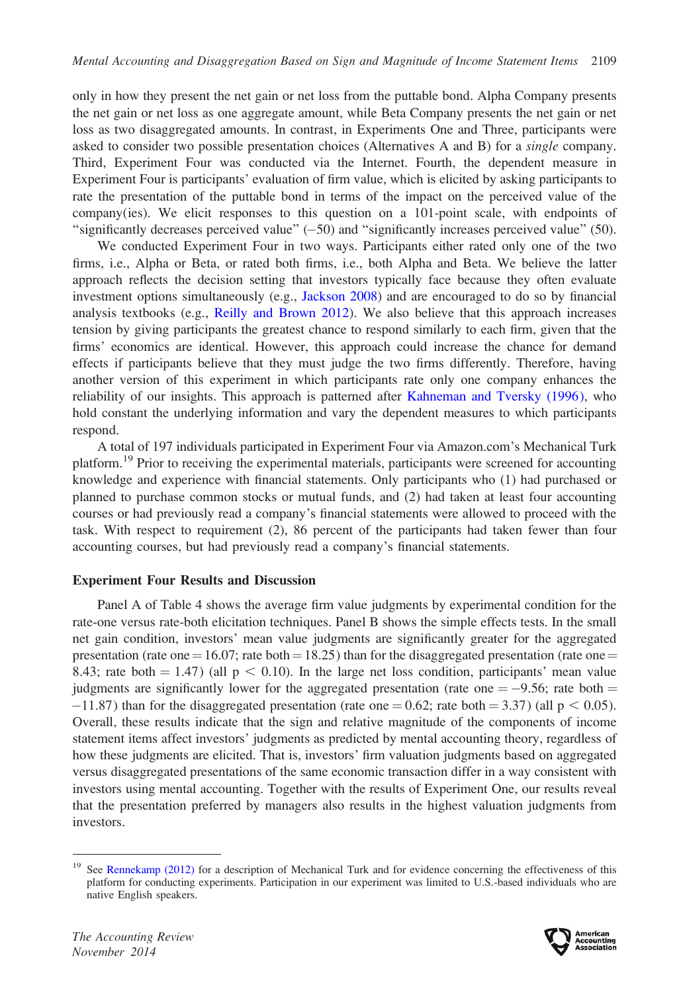only in how they present the net gain or net loss from the puttable bond. Alpha Company presents the net gain or net loss as one aggregate amount, while Beta Company presents the net gain or net loss as two disaggregated amounts. In contrast, in Experiments One and Three, participants were asked to consider two possible presentation choices (Alternatives A and B) for a single company. Third, Experiment Four was conducted via the Internet. Fourth, the dependent measure in Experiment Four is participants' evaluation of firm value, which is elicited by asking participants to rate the presentation of the puttable bond in terms of the impact on the perceived value of the company(ies). We elicit responses to this question on a 101-point scale, with endpoints of ''significantly decreases perceived value'' (-50) and ''significantly increases perceived value'' (50).

We conducted Experiment Four in two ways. Participants either rated only one of the two firms, i.e., Alpha or Beta, or rated both firms, i.e., both Alpha and Beta. We believe the latter approach reflects the decision setting that investors typically face because they often evaluate investment options simultaneously (e.g., [Jackson 2008\)](#page-26-0) and are encouraged to do so by financial analysis textbooks (e.g., [Reilly and Brown 2012](#page-27-0)). We also believe that this approach increases tension by giving participants the greatest chance to respond similarly to each firm, given that the firms' economics are identical. However, this approach could increase the chance for demand effects if participants believe that they must judge the two firms differently. Therefore, having another version of this experiment in which participants rate only one company enhances the reliability of our insights. This approach is patterned after [Kahneman and Tversky \(1996\),](#page-26-0) who hold constant the underlying information and vary the dependent measures to which participants respond.

A total of 197 individuals participated in Experiment Four via Amazon.com's Mechanical Turk platform.<sup>19</sup> Prior to receiving the experimental materials, participants were screened for accounting knowledge and experience with financial statements. Only participants who (1) had purchased or planned to purchase common stocks or mutual funds, and (2) had taken at least four accounting courses or had previously read a company's financial statements were allowed to proceed with the task. With respect to requirement (2), 86 percent of the participants had taken fewer than four accounting courses, but had previously read a company's financial statements.

#### Experiment Four Results and Discussion

Panel A of Table 4 shows the average firm value judgments by experimental condition for the rate-one versus rate-both elicitation techniques. Panel B shows the simple effects tests. In the small net gain condition, investors' mean value judgments are significantly greater for the aggregated presentation (rate one =  $16.07$ ; rate both = 18.25) than for the disaggregated presentation (rate one = 8.43; rate both  $= 1.47$ ) (all p  $< 0.10$ ). In the large net loss condition, participants' mean value judgments are significantly lower for the aggregated presentation (rate one  $=$  -9.56; rate both  $=$  $-11.87$ ) than for the disaggregated presentation (rate one = 0.62; rate both = 3.37) (all p < 0.05). Overall, these results indicate that the sign and relative magnitude of the components of income statement items affect investors' judgments as predicted by mental accounting theory, regardless of how these judgments are elicited. That is, investors' firm valuation judgments based on aggregated versus disaggregated presentations of the same economic transaction differ in a way consistent with investors using mental accounting. Together with the results of Experiment One, our results reveal that the presentation preferred by managers also results in the highest valuation judgments from investors.

<sup>&</sup>lt;sup>19</sup> See [Rennekamp \(2012\)](#page-27-0) for a description of Mechanical Turk and for evidence concerning the effectiveness of this platform for conducting experiments. Participation in our experiment was limited to U.S.-based individuals who are native English speakers.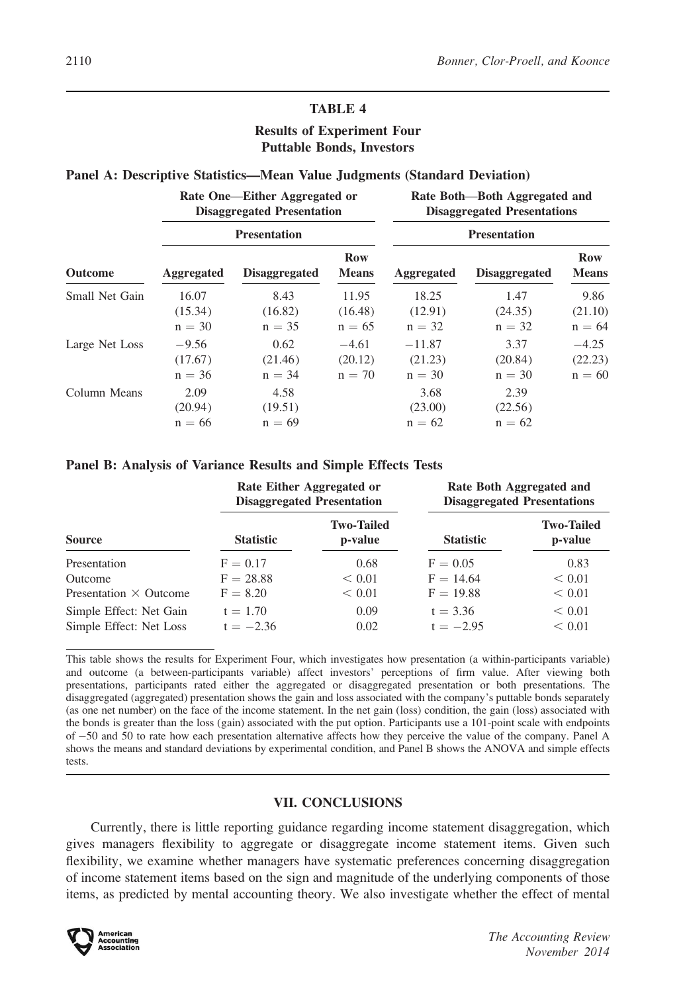# TABLE 4

# Results of Experiment Four Puttable Bonds, Investors

# Panel A: Descriptive Statistics—Mean Value Judgments (Standard Deviation)

|                |                                | Rate One—Either Aggregated or<br><b>Disaggregated Presentation</b> |                                |                                 | Rate Both—Both Aggregated and<br><b>Disaggregated Presentations</b> |                                |
|----------------|--------------------------------|--------------------------------------------------------------------|--------------------------------|---------------------------------|---------------------------------------------------------------------|--------------------------------|
|                |                                | <b>Presentation</b>                                                |                                |                                 | <b>Presentation</b>                                                 |                                |
| <b>Outcome</b> | <b>Aggregated</b>              | <b>Disaggregated</b>                                               | <b>Row</b><br><b>Means</b>     | <b>Aggregated</b>               | <b>Disaggregated</b>                                                | <b>Row</b><br><b>Means</b>     |
| Small Net Gain | 16.07<br>(15.34)<br>$n = 30$   | 8.43<br>(16.82)<br>$n = 35$                                        | 11.95<br>(16.48)<br>$n = 65$   | 18.25<br>(12.91)<br>$n = 32$    | 1.47<br>(24.35)<br>$n = 32$                                         | 9.86<br>(21.10)<br>$n = 64$    |
| Large Net Loss | $-9.56$<br>(17.67)<br>$n = 36$ | 0.62<br>(21.46)<br>$n = 34$                                        | $-4.61$<br>(20.12)<br>$n = 70$ | $-11.87$<br>(21.23)<br>$n = 30$ | 3.37<br>(20.84)<br>$n = 30$                                         | $-4.25$<br>(22.23)<br>$n = 60$ |
| Column Means   | 2.09<br>(20.94)<br>$n = 66$    | 4.58<br>(19.51)<br>$n = 69$                                        |                                | 3.68<br>(23.00)<br>$n = 62$     | 2.39<br>(22.56)<br>$n = 62$                                         |                                |

# Panel B: Analysis of Variance Results and Simple Effects Tests

|                                                    |                           | Rate Either Aggregated or<br><b>Disaggregated Presentation</b> |                           | Rate Both Aggregated and<br><b>Disaggregated Presentations</b> |
|----------------------------------------------------|---------------------------|----------------------------------------------------------------|---------------------------|----------------------------------------------------------------|
| <b>Source</b>                                      | <b>Statistic</b>          | <b>Two-Tailed</b><br>p-value                                   | <b>Statistic</b>          | <b>Two-Tailed</b><br>p-value                                   |
| Presentation                                       | $F = 0.17$                | 0.68                                                           | $F = 0.05$                | 0.83                                                           |
| Outcome                                            | $F = 28.88$               | < 0.01                                                         | $F = 14.64$               | ${}_{\leq 0.01}$                                               |
| Presentation $\times$ Outcome                      | $F = 8.20$                | < 0.01                                                         | $F = 19.88$               | < 0.01                                                         |
| Simple Effect: Net Gain<br>Simple Effect: Net Loss | $t = 1.70$<br>$t = -2.36$ | 0.09<br>0.02                                                   | $t = 3.36$<br>$t = -2.95$ | ${}_{\leq 0.01}$<br>< 0.01                                     |

This table shows the results for Experiment Four, which investigates how presentation (a within-participants variable) and outcome (a between-participants variable) affect investors' perceptions of firm value. After viewing both presentations, participants rated either the aggregated or disaggregated presentation or both presentations. The disaggregated (aggregated) presentation shows the gain and loss associated with the company's puttable bonds separately (as one net number) on the face of the income statement. In the net gain (loss) condition, the gain (loss) associated with the bonds is greater than the loss (gain) associated with the put option. Participants use a 101-point scale with endpoints of -50 and 50 to rate how each presentation alternative affects how they perceive the value of the company. Panel A shows the means and standard deviations by experimental condition, and Panel B shows the ANOVA and simple effects tests.

# VII. CONCLUSIONS

Currently, there is little reporting guidance regarding income statement disaggregation, which gives managers flexibility to aggregate or disaggregate income statement items. Given such flexibility, we examine whether managers have systematic preferences concerning disaggregation of income statement items based on the sign and magnitude of the underlying components of those items, as predicted by mental accounting theory. We also investigate whether the effect of mental

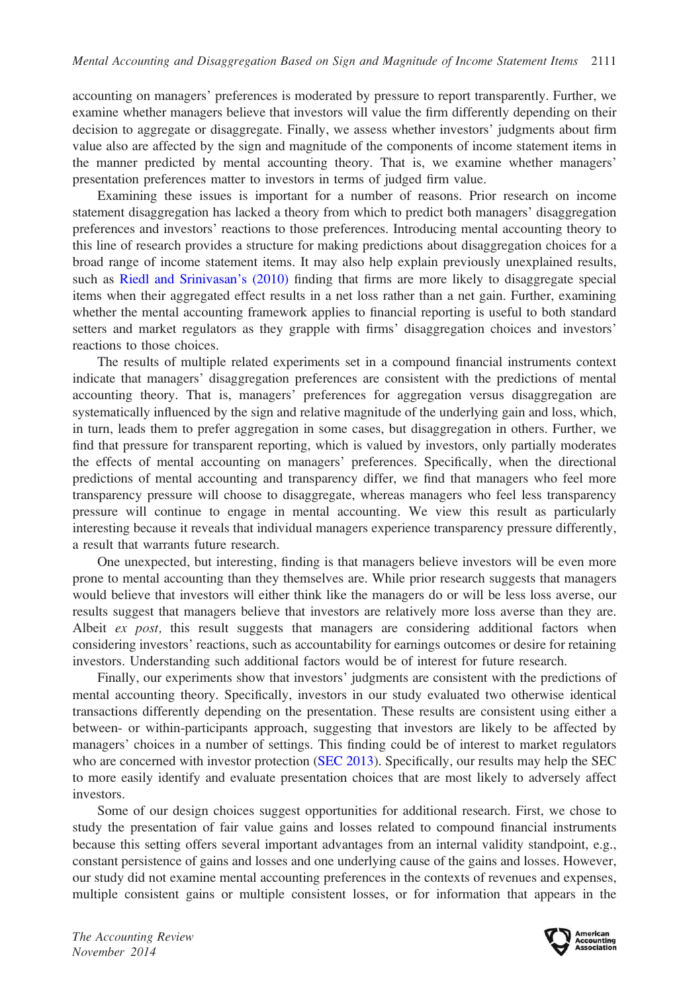accounting on managers' preferences is moderated by pressure to report transparently. Further, we examine whether managers believe that investors will value the firm differently depending on their decision to aggregate or disaggregate. Finally, we assess whether investors' judgments about firm value also are affected by the sign and magnitude of the components of income statement items in the manner predicted by mental accounting theory. That is, we examine whether managers' presentation preferences matter to investors in terms of judged firm value.

Examining these issues is important for a number of reasons. Prior research on income statement disaggregation has lacked a theory from which to predict both managers' disaggregation preferences and investors' reactions to those preferences. Introducing mental accounting theory to this line of research provides a structure for making predictions about disaggregation choices for a broad range of income statement items. It may also help explain previously unexplained results, such as [Riedl and Srinivasan's \(2010\)](#page-27-0) finding that firms are more likely to disaggregate special items when their aggregated effect results in a net loss rather than a net gain. Further, examining whether the mental accounting framework applies to financial reporting is useful to both standard setters and market regulators as they grapple with firms' disaggregation choices and investors' reactions to those choices.

The results of multiple related experiments set in a compound financial instruments context indicate that managers' disaggregation preferences are consistent with the predictions of mental accounting theory. That is, managers' preferences for aggregation versus disaggregation are systematically influenced by the sign and relative magnitude of the underlying gain and loss, which, in turn, leads them to prefer aggregation in some cases, but disaggregation in others. Further, we find that pressure for transparent reporting, which is valued by investors, only partially moderates the effects of mental accounting on managers' preferences. Specifically, when the directional predictions of mental accounting and transparency differ, we find that managers who feel more transparency pressure will choose to disaggregate, whereas managers who feel less transparency pressure will continue to engage in mental accounting. We view this result as particularly interesting because it reveals that individual managers experience transparency pressure differently, a result that warrants future research.

One unexpected, but interesting, finding is that managers believe investors will be even more prone to mental accounting than they themselves are. While prior research suggests that managers would believe that investors will either think like the managers do or will be less loss averse, our results suggest that managers believe that investors are relatively more loss averse than they are. Albeit  $ex$  post, this result suggests that managers are considering additional factors when considering investors' reactions, such as accountability for earnings outcomes or desire for retaining investors. Understanding such additional factors would be of interest for future research.

Finally, our experiments show that investors' judgments are consistent with the predictions of mental accounting theory. Specifically, investors in our study evaluated two otherwise identical transactions differently depending on the presentation. These results are consistent using either a between- or within-participants approach, suggesting that investors are likely to be affected by managers' choices in a number of settings. This finding could be of interest to market regulators who are concerned with investor protection [\(SEC 2013](#page-27-0)). Specifically, our results may help the SEC to more easily identify and evaluate presentation choices that are most likely to adversely affect investors.

Some of our design choices suggest opportunities for additional research. First, we chose to study the presentation of fair value gains and losses related to compound financial instruments because this setting offers several important advantages from an internal validity standpoint, e.g., constant persistence of gains and losses and one underlying cause of the gains and losses. However, our study did not examine mental accounting preferences in the contexts of revenues and expenses, multiple consistent gains or multiple consistent losses, or for information that appears in the

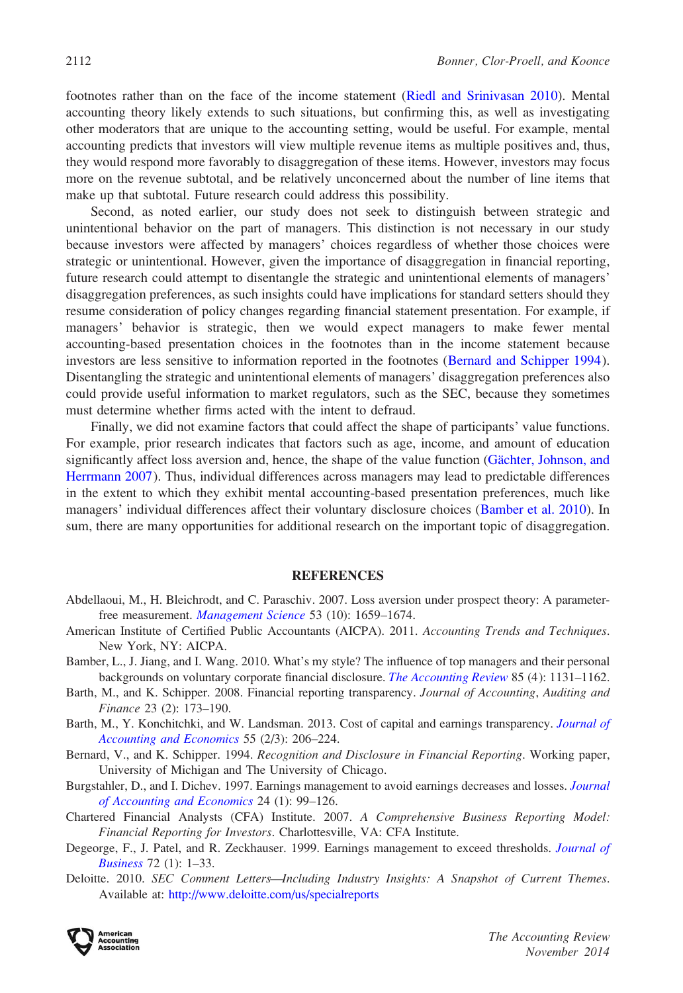<span id="page-25-0"></span>footnotes rather than on the face of the income statement ([Riedl and Srinivasan 2010\)](#page-27-0). Mental accounting theory likely extends to such situations, but confirming this, as well as investigating other moderators that are unique to the accounting setting, would be useful. For example, mental accounting predicts that investors will view multiple revenue items as multiple positives and, thus, they would respond more favorably to disaggregation of these items. However, investors may focus more on the revenue subtotal, and be relatively unconcerned about the number of line items that make up that subtotal. Future research could address this possibility.

Second, as noted earlier, our study does not seek to distinguish between strategic and unintentional behavior on the part of managers. This distinction is not necessary in our study because investors were affected by managers' choices regardless of whether those choices were strategic or unintentional. However, given the importance of disaggregation in financial reporting, future research could attempt to disentangle the strategic and unintentional elements of managers' disaggregation preferences, as such insights could have implications for standard setters should they resume consideration of policy changes regarding financial statement presentation. For example, if managers' behavior is strategic, then we would expect managers to make fewer mental accounting-based presentation choices in the footnotes than in the income statement because investors are less sensitive to information reported in the footnotes (Bernard and Schipper 1994). Disentangling the strategic and unintentional elements of managers' disaggregation preferences also could provide useful information to market regulators, such as the SEC, because they sometimes must determine whether firms acted with the intent to defraud.

Finally, we did not examine factors that could affect the shape of participants' value functions. For example, prior research indicates that factors such as age, income, and amount of education significantly affect loss aversion and, hence, the shape of the value function (Gächter, Johnson, and [Herrmann 2007](#page-26-0)). Thus, individual differences across managers may lead to predictable differences in the extent to which they exhibit mental accounting-based presentation preferences, much like managers' individual differences affect their voluntary disclosure choices (Bamber et al. 2010). In sum, there are many opportunities for additional research on the important topic of disaggregation.

#### **REFERENCES**

- Abdellaoui, M., H. Bleichrodt, and C. Paraschiv. 2007. Loss aversion under prospect theory: A parameterfree measurement. *[Management Science](dx.doi.org/10.1287/mnsc.1070.0711)* 53 (10): 1659–1674.
- American Institute of Certified Public Accountants (AICPA). 2011. Accounting Trends and Techniques. New York, NY: AICPA.
- Bamber, L., J. Jiang, and I. Wang. 2010. What's my style? The influence of top managers and their personal backgrounds on voluntary corporate financial disclosure. [The Accounting Review](dx.doi.org/10.2308/accr.2010.85.4.1131) 85 (4): 1131–1162.
- Barth, M., and K. Schipper. 2008. Financial reporting transparency. Journal of Accounting, Auditing and Finance 23 (2): 173–190.
- Barth, M., Y. Konchitchki, and W. Landsman. 2013. Cost of capital and earnings transparency. [Journal of](dx.doi.org/10.1016/j.jacceco.2013.01.004) [Accounting and Economics](dx.doi.org/10.1016/j.jacceco.2013.01.004) 55 (2/3): 206–224.
- Bernard, V., and K. Schipper. 1994. Recognition and Disclosure in Financial Reporting. Working paper, University of Michigan and The University of Chicago.
- Burgstahler, D., and I. Dichev. 1997. Earnings management to avoid earnings decreases and losses. [Journal](dx.doi.org/10.1016/S0165-4101(97)00017-7) [of Accounting and Economics](dx.doi.org/10.1016/S0165-4101(97)00017-7) 24 (1): 99–126.
- Chartered Financial Analysts (CFA) Institute. 2007. A Comprehensive Business Reporting Model: Financial Reporting for Investors. Charlottesville, VA: CFA Institute.
- Degeorge, F., J. Patel, and R. Zeckhauser. 1999. Earnings management to exceed thresholds. [Journal of](dx.doi.org/10.1086/209601) [Business](dx.doi.org/10.1086/209601) 72 (1): 1–33.
- Deloitte. 2010. SEC Comment Letters-Including Industry Insights: A Snapshot of Current Themes. Available at: <http://www.deloitte.com/us/specialreports>

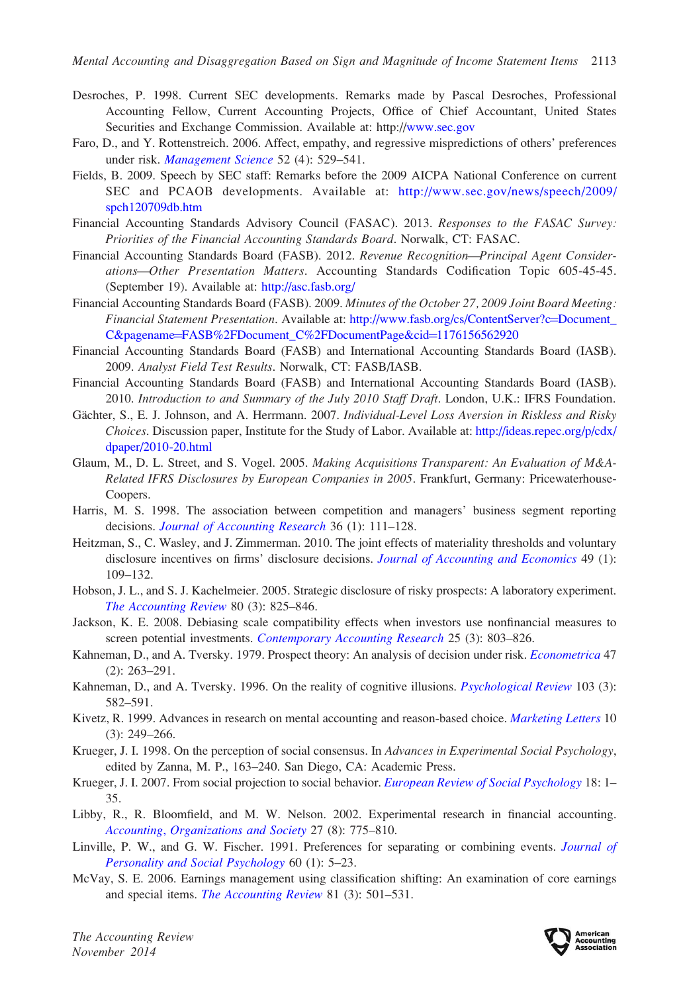- <span id="page-26-0"></span>Desroches, P. 1998. Current SEC developments. Remarks made by Pascal Desroches, Professional Accounting Fellow, Current Accounting Projects, Office of Chief Accountant, United States Securities and Exchange Commission. Available at: http://[www.sec.gov](http://www.sec.gov)
- Faro, D., and Y. Rottenstreich. 2006. Affect, empathy, and regressive mispredictions of others' preferences under risk. [Management Science](dx.doi.org/10.1287/mnsc.1050.0490) 52 (4): 529–541.
- Fields, B. 2009. Speech by SEC staff: Remarks before the 2009 AICPA National Conference on current SEC and PCAOB developments. Available at: [http://www.sec.gov/news/speech/2009/](http://www.sec.gov/news/speech/2009/spch120709db.htm) [spch120709db.htm](http://www.sec.gov/news/speech/2009/spch120709db.htm)
- Financial Accounting Standards Advisory Council (FASAC). 2013. Responses to the FASAC Survey: Priorities of the Financial Accounting Standards Board. Norwalk, CT: FASAC.
- Financial Accounting Standards Board (FASB). 2012. Revenue Recognition—Principal Agent Considerations—Other Presentation Matters. Accounting Standards Codification Topic 605-45-45. (September 19). Available at: <http://asc.fasb.org/>
- Financial Accounting Standards Board (FASB). 2009. Minutes of the October 27, 2009 Joint Board Meeting: Financial Statement Presentation. Available at: [http://www.fasb.org/cs/ContentServer?c](http://asc.fasb.org/)=[Document\\_](http://asc.fasb.org/) [C&pagename](http://asc.fasb.org/)=[FASB%2FDocument\\_C%2FDocumentPage&cid](http://asc.fasb.org/)=[1176156562920](http://asc.fasb.org/)
- Financial Accounting Standards Board (FASB) and International Accounting Standards Board (IASB). 2009. Analyst Field Test Results. Norwalk, CT: FASB/IASB.
- Financial Accounting Standards Board (FASB) and International Accounting Standards Board (IASB). 2010. Introduction to and Summary of the July 2010 Staff Draft. London, U.K.: IFRS Foundation.
- Gächter, S., E. J. Johnson, and A. Herrmann. 2007. Individual-Level Loss Aversion in Riskless and Risky Choices. Discussion paper, Institute for the Study of Labor. Available at: [http://ideas.repec.org/p/cdx/](http://ideas.repec.org/p/cdx/dpaper/2010-20.html) [dpaper/2010-20.html](http://ideas.repec.org/p/cdx/dpaper/2010-20.html)
- Glaum, M., D. L. Street, and S. Vogel. 2005. Making Acquisitions Transparent: An Evaluation of M&A-Related IFRS Disclosures by European Companies in 2005. Frankfurt, Germany: Pricewaterhouse-Coopers.
- Harris, M. S. 1998. The association between competition and managers' business segment reporting decisions. [Journal of Accounting Research](dx.doi.org/10.2307/2491323) 36 (1): 111–128.
- Heitzman, S., C. Wasley, and J. Zimmerman. 2010. The joint effects of materiality thresholds and voluntary disclosure incentives on firms' disclosure decisions. [Journal of Accounting and Economics](dx.doi.org/10.1016/j.jacceco.2009.10.002) 49 (1): 109–132.
- Hobson, J. L., and S. J. Kachelmeier. 2005. Strategic disclosure of risky prospects: A laboratory experiment. [The Accounting Review](dx.doi.org/10.2308/accr.2005.80.3.825) 80 (3): 825-846.
- Jackson, K. E. 2008. Debiasing scale compatibility effects when investors use nonfinancial measures to screen potential investments. [Contemporary Accounting Research](dx.doi.org/10.1506/car.25.3.6) 25 (3): 803–826.
- Kahneman, D., and A. Tversky. 1979. Prospect theory: An analysis of decision under risk. [Econometrica](dx.doi.org/10.2307/1914185) 47 (2): 263–291.
- Kahneman, D., and A. Tversky. 1996. On the reality of cognitive illusions. *[Psychological Review](dx.doi.org/10.1037/0033-295X.103.3.582)* 103 (3): 582–591.
- Kivetz, R. 1999. Advances in research on mental accounting and reason-based choice. [Marketing Letters](dx.doi.org/10.1023/A:1008066718905) 10 (3): 249–266.
- Krueger, J. I. 1998. On the perception of social consensus. In Advances in Experimental Social Psychology, edited by Zanna, M. P., 163–240. San Diego, CA: Academic Press.
- Krueger, J. I. 2007. From social projection to social behavior. *[European Review of Social Psychology](dx.doi.org/10.1080/10463280701284645)* 18: 1– 35.
- Libby, R., R. Bloomfield, and M. W. Nelson. 2002. Experimental research in financial accounting. Accounting, [Organizations and Society](dx.doi.org/10.1016/S0361-3682(01)00011-3) 27 (8): 775–810.
- Linville, P. W., and G. W. Fischer. 1991. Preferences for separating or combining events. [Journal of](dx.doi.org/10.1037/0022-3514.60.1.5) [Personality and Social Psychology](dx.doi.org/10.1037/0022-3514.60.1.5) 60 (1): 5–23.
- McVay, S. E. 2006. Earnings management using classification shifting: An examination of core earnings and special items. [The Accounting Review](dx.doi.org/10.2308/accr.2006.81.3.501) 81 (3): 501-531.